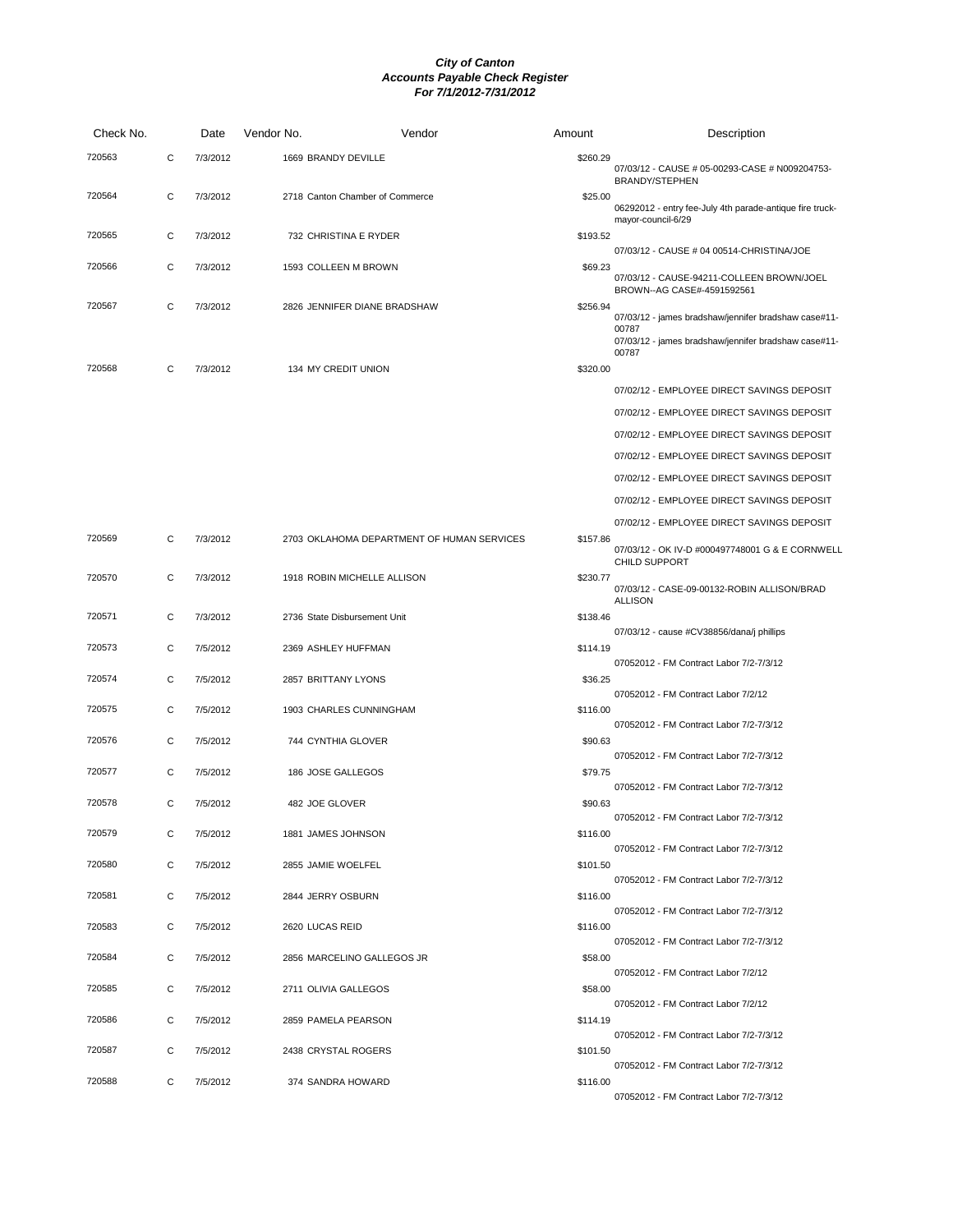| Check No. |   | Date     | Vendor No.           | Vendor                                     | Amount   | Description                                                                                                           |
|-----------|---|----------|----------------------|--------------------------------------------|----------|-----------------------------------------------------------------------------------------------------------------------|
| 720563    | C | 7/3/2012 | 1669 BRANDY DEVILLE  |                                            | \$260.29 | 07/03/12 - CAUSE # 05-00293-CASE # N009204753-                                                                        |
| 720564    | C | 7/3/2012 |                      | 2718 Canton Chamber of Commerce            | \$25.00  | BRANDY/STEPHEN<br>06292012 - entry fee-July 4th parade-antique fire truck-                                            |
| 720565    | C | 7/3/2012 |                      | 732 CHRISTINA E RYDER                      | \$193.52 | mayor-council-6/29                                                                                                    |
| 720566    | C | 7/3/2012 |                      | 1593 COLLEEN M BROWN                       | \$69.23  | 07/03/12 - CAUSE # 04 00514-CHRISTINA/JOE                                                                             |
|           |   |          |                      |                                            |          | 07/03/12 - CAUSE-94211-COLLEEN BROWN/JOEL<br>BROWN--AG CASE#-4591592561                                               |
| 720567    | C | 7/3/2012 |                      | 2826 JENNIFER DIANE BRADSHAW               | \$256.94 | 07/03/12 - james bradshaw/jennifer bradshaw case#11-<br>00787<br>07/03/12 - james bradshaw/jennifer bradshaw case#11- |
| 720568    | C | 7/3/2012 |                      | 134 MY CREDIT UNION                        | \$320.00 | 00787                                                                                                                 |
|           |   |          |                      |                                            |          | 07/02/12 - EMPLOYEE DIRECT SAVINGS DEPOSIT                                                                            |
|           |   |          |                      |                                            |          | 07/02/12 - EMPLOYEE DIRECT SAVINGS DEPOSIT                                                                            |
|           |   |          |                      |                                            |          | 07/02/12 - EMPLOYEE DIRECT SAVINGS DEPOSIT                                                                            |
|           |   |          |                      |                                            |          | 07/02/12 - EMPLOYEE DIRECT SAVINGS DEPOSIT                                                                            |
|           |   |          |                      |                                            |          | 07/02/12 - EMPLOYEE DIRECT SAVINGS DEPOSIT                                                                            |
|           |   |          |                      |                                            |          | 07/02/12 - EMPLOYEE DIRECT SAVINGS DEPOSIT                                                                            |
|           |   |          |                      |                                            |          | 07/02/12 - EMPLOYEE DIRECT SAVINGS DEPOSIT                                                                            |
| 720569    | C | 7/3/2012 |                      | 2703 OKLAHOMA DEPARTMENT OF HUMAN SERVICES | \$157.86 | 07/03/12 - OK IV-D #000497748001 G & E CORNWELL<br>CHILD SUPPORT                                                      |
| 720570    | C | 7/3/2012 |                      | 1918 ROBIN MICHELLE ALLISON                | \$230.77 | 07/03/12 - CASE-09-00132-ROBIN ALLISON/BRAD<br><b>ALLISON</b>                                                         |
| 720571    | C | 7/3/2012 |                      | 2736 State Disbursement Unit               | \$138.46 | 07/03/12 - cause #CV38856/dana/j phillips                                                                             |
| 720573    | C | 7/5/2012 | 2369 ASHLEY HUFFMAN  |                                            | \$114.19 | 07052012 - FM Contract Labor 7/2-7/3/12                                                                               |
| 720574    | C | 7/5/2012 | 2857 BRITTANY LYONS  |                                            | \$36.25  | 07052012 - FM Contract Labor 7/2/12                                                                                   |
| 720575    | C | 7/5/2012 |                      | 1903 CHARLES CUNNINGHAM                    | \$116.00 | 07052012 - FM Contract Labor 7/2-7/3/12                                                                               |
| 720576    | C | 7/5/2012 |                      | 744 CYNTHIA GLOVER                         | \$90.63  | 07052012 - FM Contract Labor 7/2-7/3/12                                                                               |
| 720577    | C | 7/5/2012 | 186 JOSE GALLEGOS    |                                            | \$79.75  | 07052012 - FM Contract Labor 7/2-7/3/12                                                                               |
| 720578    | C | 7/5/2012 | 482 JOE GLOVER       |                                            | \$90.63  | 07052012 - FM Contract Labor 7/2-7/3/12                                                                               |
| 720579    | С | 7/5/2012 | 1881 JAMES JOHNSON   |                                            | \$116.00 |                                                                                                                       |
| 720580    | C | 7/5/2012 | 2855 JAMIE WOELFEL   |                                            | \$101.50 | 07052012 - FM Contract Labor 7/2-7/3/12                                                                               |
| 720581    | C | 7/5/2012 | 2844 JERRY OSBURN    |                                            | \$116.00 | 07052012 - FM Contract Labor 7/2-7/3/12                                                                               |
| 720583    | C | 7/5/2012 | 2620 LUCAS REID      |                                            | \$116.00 | 07052012 - FM Contract Labor 7/2-7/3/12                                                                               |
| 720584    | C | 7/5/2012 |                      | 2856 MARCELINO GALLEGOS JR                 | \$58.00  | 07052012 - FM Contract Labor 7/2-7/3/12                                                                               |
| 720585    | C | 7/5/2012 | 2711 OLIVIA GALLEGOS |                                            | \$58.00  | 07052012 - FM Contract Labor 7/2/12                                                                                   |
| 720586    | C | 7/5/2012 | 2859 PAMELA PEARSON  |                                            | \$114.19 | 07052012 - FM Contract Labor 7/2/12                                                                                   |
| 720587    | C | 7/5/2012 | 2438 CRYSTAL ROGERS  |                                            | \$101.50 | 07052012 - FM Contract Labor 7/2-7/3/12                                                                               |
| 720588    | C | 7/5/2012 |                      | 374 SANDRA HOWARD                          | \$116.00 | 07052012 - FM Contract Labor 7/2-7/3/12<br>07052012 - FM Contract Labor 7/2-7/3/12                                    |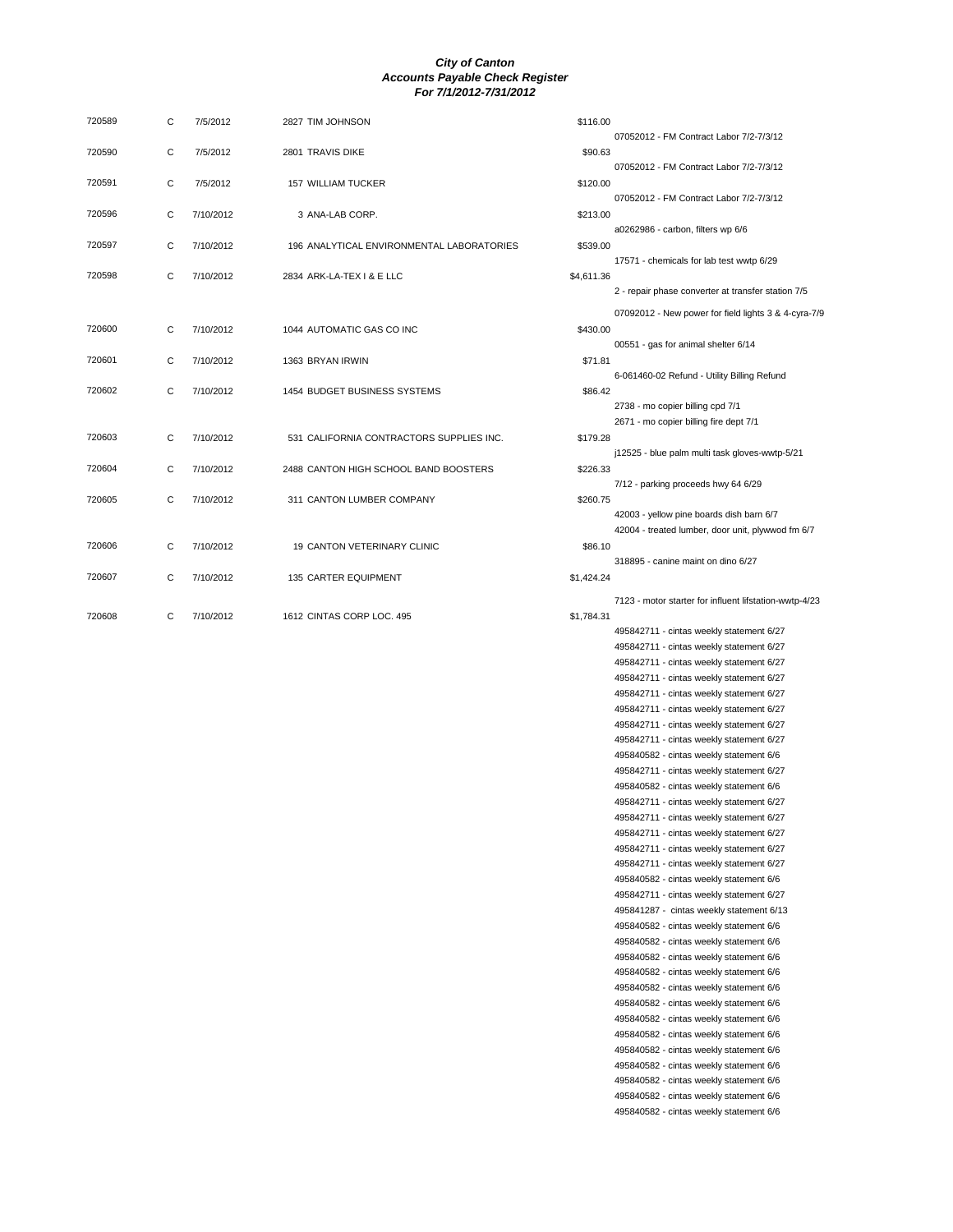| 720589 | C | 7/5/2012  | 2827 TIM JOHNSON                          | \$116.00                                                                             |  |
|--------|---|-----------|-------------------------------------------|--------------------------------------------------------------------------------------|--|
| 720590 |   |           |                                           | 07052012 - FM Contract Labor 7/2-7/3/12                                              |  |
|        | C | 7/5/2012  | 2801 TRAVIS DIKE                          | \$90.63<br>07052012 - FM Contract Labor 7/2-7/3/12                                   |  |
| 720591 | C | 7/5/2012  | 157 WILLIAM TUCKER                        | \$120.00                                                                             |  |
|        |   |           |                                           | 07052012 - FM Contract Labor 7/2-7/3/12                                              |  |
| 720596 | C | 7/10/2012 | 3 ANA-LAB CORP.                           | \$213.00                                                                             |  |
|        |   |           |                                           | a0262986 - carbon, filters wp 6/6                                                    |  |
| 720597 | C | 7/10/2012 | 196 ANALYTICAL ENVIRONMENTAL LABORATORIES | \$539.00<br>17571 - chemicals for lab test wwtp 6/29                                 |  |
| 720598 | C | 7/10/2012 | 2834 ARK-LA-TEX I & E LLC                 | \$4,611.36                                                                           |  |
|        |   |           |                                           | 2 - repair phase converter at transfer station 7/5                                   |  |
|        |   |           |                                           | 07092012 - New power for field lights 3 & 4-cyra-7/9                                 |  |
| 720600 | C | 7/10/2012 | 1044 AUTOMATIC GAS CO INC                 | \$430.00                                                                             |  |
|        |   |           |                                           | 00551 - gas for animal shelter 6/14                                                  |  |
| 720601 | C | 7/10/2012 | 1363 BRYAN IRWIN                          | \$71.81                                                                              |  |
|        |   |           |                                           | 6-061460-02 Refund - Utility Billing Refund                                          |  |
| 720602 | C | 7/10/2012 | 1454 BUDGET BUSINESS SYSTEMS              | \$86.42<br>2738 - mo copier billing cpd 7/1                                          |  |
|        |   |           |                                           | 2671 - mo copier billing fire dept 7/1                                               |  |
| 720603 | C | 7/10/2012 | 531 CALIFORNIA CONTRACTORS SUPPLIES INC.  | \$179.28                                                                             |  |
|        |   |           |                                           | j12525 - blue palm multi task gloves-wwtp-5/21                                       |  |
| 720604 | C | 7/10/2012 | 2488 CANTON HIGH SCHOOL BAND BOOSTERS     | \$226.33                                                                             |  |
| 720605 |   |           |                                           | 7/12 - parking proceeds hwy 64 6/29                                                  |  |
|        | С | 7/10/2012 | 311 CANTON LUMBER COMPANY                 | \$260.75<br>42003 - yellow pine boards dish barn 6/7                                 |  |
|        |   |           |                                           | 42004 - treated lumber, door unit, plywwod fm 6/7                                    |  |
| 720606 | C | 7/10/2012 | 19 CANTON VETERINARY CLINIC               | \$86.10                                                                              |  |
|        |   |           |                                           | 318895 - canine maint on dino 6/27                                                   |  |
| 720607 | C | 7/10/2012 | 135 CARTER EQUIPMENT                      | \$1,424.24                                                                           |  |
|        |   |           |                                           | 7123 - motor starter for influent lifstation-wwtp-4/23                               |  |
| 720608 | C | 7/10/2012 | 1612 CINTAS CORP LOC. 495                 | \$1,784.31                                                                           |  |
|        |   |           |                                           | 495842711 - cintas weekly statement 6/27                                             |  |
|        |   |           |                                           | 495842711 - cintas weekly statement 6/27<br>495842711 - cintas weekly statement 6/27 |  |
|        |   |           |                                           | 495842711 - cintas weekly statement 6/27                                             |  |
|        |   |           |                                           | 495842711 - cintas weekly statement 6/27                                             |  |
|        |   |           |                                           | 495842711 - cintas weekly statement 6/27                                             |  |
|        |   |           |                                           | 495842711 - cintas weekly statement 6/27                                             |  |
|        |   |           |                                           | 495842711 - cintas weekly statement 6/27                                             |  |
|        |   |           |                                           | 495840582 - cintas weekly statement 6/6                                              |  |
|        |   |           |                                           | 495842711 - cintas weekly statement 6/27                                             |  |
|        |   |           |                                           | 495840582 - cintas weekly statement 6/6<br>495842711 - cintas weekly statement 6/27  |  |
|        |   |           |                                           | 495842711 - cintas weekly statement 6/27                                             |  |
|        |   |           |                                           | 495842711 - cintas weekly statement 6/27                                             |  |
|        |   |           |                                           | 495842711 - cintas weekly statement 6/27                                             |  |
|        |   |           |                                           | 495842711 - cintas weekly statement 6/27                                             |  |
|        |   |           |                                           | 495840582 - cintas weekly statement 6/6                                              |  |
|        |   |           |                                           | 495842711 - cintas weekly statement 6/27                                             |  |
|        |   |           |                                           | 495841287 - cintas weekly statement 6/13<br>495840582 - cintas weekly statement 6/6  |  |
|        |   |           |                                           | 495840582 - cintas weekly statement 6/6                                              |  |
|        |   |           |                                           | 495840582 - cintas weekly statement 6/6                                              |  |
|        |   |           |                                           | 495840582 - cintas weekly statement 6/6                                              |  |
|        |   |           |                                           | 495840582 - cintas weekly statement 6/6                                              |  |
|        |   |           |                                           | 495840582 - cintas weekly statement 6/6                                              |  |
|        |   |           |                                           | 495840582 - cintas weekly statement 6/6                                              |  |
|        |   |           |                                           | 495840582 - cintas weekly statement 6/6                                              |  |

495840582 - cintas weekly statement 6/6 495840582 - cintas weekly statement 6/6 495840582 - cintas weekly statement 6/6 495840582 - cintas weekly statement 6/6 495840582 - cintas weekly statement 6/6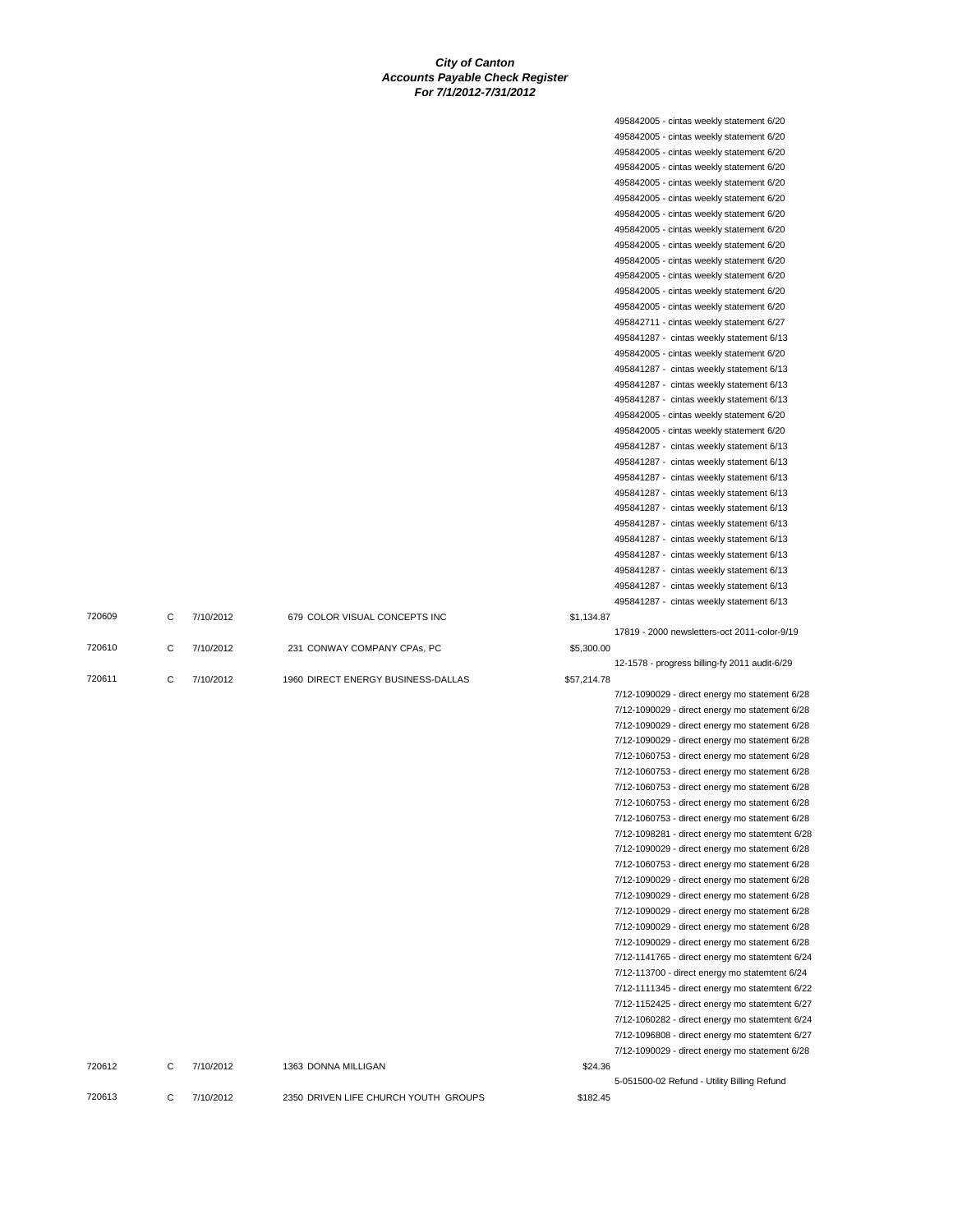|        |   |           |                                      | 495842005 - cintas weekly statement 6/20        |
|--------|---|-----------|--------------------------------------|-------------------------------------------------|
|        |   |           |                                      | 495842005 - cintas weekly statement 6/20        |
|        |   |           |                                      | 495842005 - cintas weekly statement 6/20        |
|        |   |           |                                      | 495842005 - cintas weekly statement 6/20        |
|        |   |           |                                      | 495842005 - cintas weekly statement 6/20        |
|        |   |           |                                      | 495842005 - cintas weekly statement 6/20        |
|        |   |           |                                      | 495842005 - cintas weekly statement 6/20        |
|        |   |           |                                      | 495842005 - cintas weekly statement 6/20        |
|        |   |           |                                      | 495842005 - cintas weekly statement 6/20        |
|        |   |           |                                      | 495842005 - cintas weekly statement 6/20        |
|        |   |           |                                      | 495842005 - cintas weekly statement 6/20        |
|        |   |           |                                      | 495842005 - cintas weekly statement 6/20        |
|        |   |           |                                      | 495842005 - cintas weekly statement 6/20        |
|        |   |           |                                      |                                                 |
|        |   |           |                                      | 495842711 - cintas weekly statement 6/27        |
|        |   |           |                                      | 495841287 - cintas weekly statement 6/13        |
|        |   |           |                                      | 495842005 - cintas weekly statement 6/20        |
|        |   |           |                                      | 495841287 - cintas weekly statement 6/13        |
|        |   |           |                                      | 495841287 - cintas weekly statement 6/13        |
|        |   |           |                                      | 495841287 - cintas weekly statement 6/13        |
|        |   |           |                                      | 495842005 - cintas weekly statement 6/20        |
|        |   |           |                                      | 495842005 - cintas weekly statement 6/20        |
|        |   |           |                                      | 495841287 - cintas weekly statement 6/13        |
|        |   |           |                                      | 495841287 - cintas weekly statement 6/13        |
|        |   |           |                                      | 495841287 - cintas weekly statement 6/13        |
|        |   |           |                                      | 495841287 - cintas weekly statement 6/13        |
|        |   |           |                                      | 495841287 - cintas weekly statement 6/13        |
|        |   |           |                                      | 495841287 - cintas weekly statement 6/13        |
|        |   |           |                                      | 495841287 - cintas weekly statement 6/13        |
|        |   |           |                                      | 495841287 - cintas weekly statement 6/13        |
|        |   |           |                                      | 495841287 - cintas weekly statement 6/13        |
|        |   |           |                                      | 495841287 - cintas weekly statement 6/13        |
|        |   |           |                                      |                                                 |
|        |   |           |                                      | 495841287 - cintas weekly statement 6/13        |
| 720609 | C | 7/10/2012 | 679 COLOR VISUAL CONCEPTS INC        | \$1,134.87                                      |
|        |   |           |                                      | 17819 - 2000 newsletters-oct 2011-color-9/19    |
| 720610 | C | 7/10/2012 | 231 CONWAY COMPANY CPAs, PC          | \$5,300.00                                      |
|        |   |           |                                      | 12-1578 - progress billing-fy 2011 audit-6/29   |
| 720611 | C | 7/10/2012 | 1960 DIRECT ENERGY BUSINESS-DALLAS   | \$57,214.78                                     |
|        |   |           |                                      | 7/12-1090029 - direct energy mo statement 6/28  |
|        |   |           |                                      | 7/12-1090029 - direct energy mo statement 6/28  |
|        |   |           |                                      | 7/12-1090029 - direct energy mo statement 6/28  |
|        |   |           |                                      | 7/12-1090029 - direct energy mo statement 6/28  |
|        |   |           |                                      | 7/12-1060753 - direct energy mo statement 6/28  |
|        |   |           |                                      | 7/12-1060753 - direct energy mo statement 6/28  |
|        |   |           |                                      | 7/12-1060753 - direct energy mo statement 6/28  |
|        |   |           |                                      | 7/12-1060753 - direct energy mo statement 6/28  |
|        |   |           |                                      | 7/12-1060753 - direct energy mo statement 6/28  |
|        |   |           |                                      | 7/12-1098281 - direct energy mo statemtent 6/28 |
|        |   |           |                                      | 7/12-1090029 - direct energy mo statement 6/28  |
|        |   |           |                                      |                                                 |
|        |   |           |                                      | 7/12-1060753 - direct energy mo statement 6/28  |
|        |   |           |                                      | 7/12-1090029 - direct energy mo statement 6/28  |
|        |   |           |                                      | 7/12-1090029 - direct energy mo statement 6/28  |
|        |   |           |                                      | 7/12-1090029 - direct energy mo statement 6/28  |
|        |   |           |                                      | 7/12-1090029 - direct energy mo statement 6/28  |
|        |   |           |                                      | 7/12-1090029 - direct energy mo statement 6/28  |
|        |   |           |                                      | 7/12-1141765 - direct energy mo statemtent 6/24 |
|        |   |           |                                      | 7/12-113700 - direct energy mo statemtent 6/24  |
|        |   |           |                                      | 7/12-1111345 - direct energy mo statemtent 6/22 |
|        |   |           |                                      | 7/12-1152425 - direct energy mo statemtent 6/27 |
|        |   |           |                                      | 7/12-1060282 - direct energy mo statemtent 6/24 |
|        |   |           |                                      | 7/12-1096808 - direct energy mo statemtent 6/27 |
|        |   |           |                                      | 7/12-1090029 - direct energy mo statement 6/28  |
| 720612 | С | 7/10/2012 | 1363 DONNA MILLIGAN                  | \$24.36                                         |
|        |   |           |                                      | 5-051500-02 Refund - Utility Billing Refund     |
| 720613 | С | 7/10/2012 | 2350 DRIVEN LIFE CHURCH YOUTH GROUPS | \$182.45                                        |
|        |   |           |                                      |                                                 |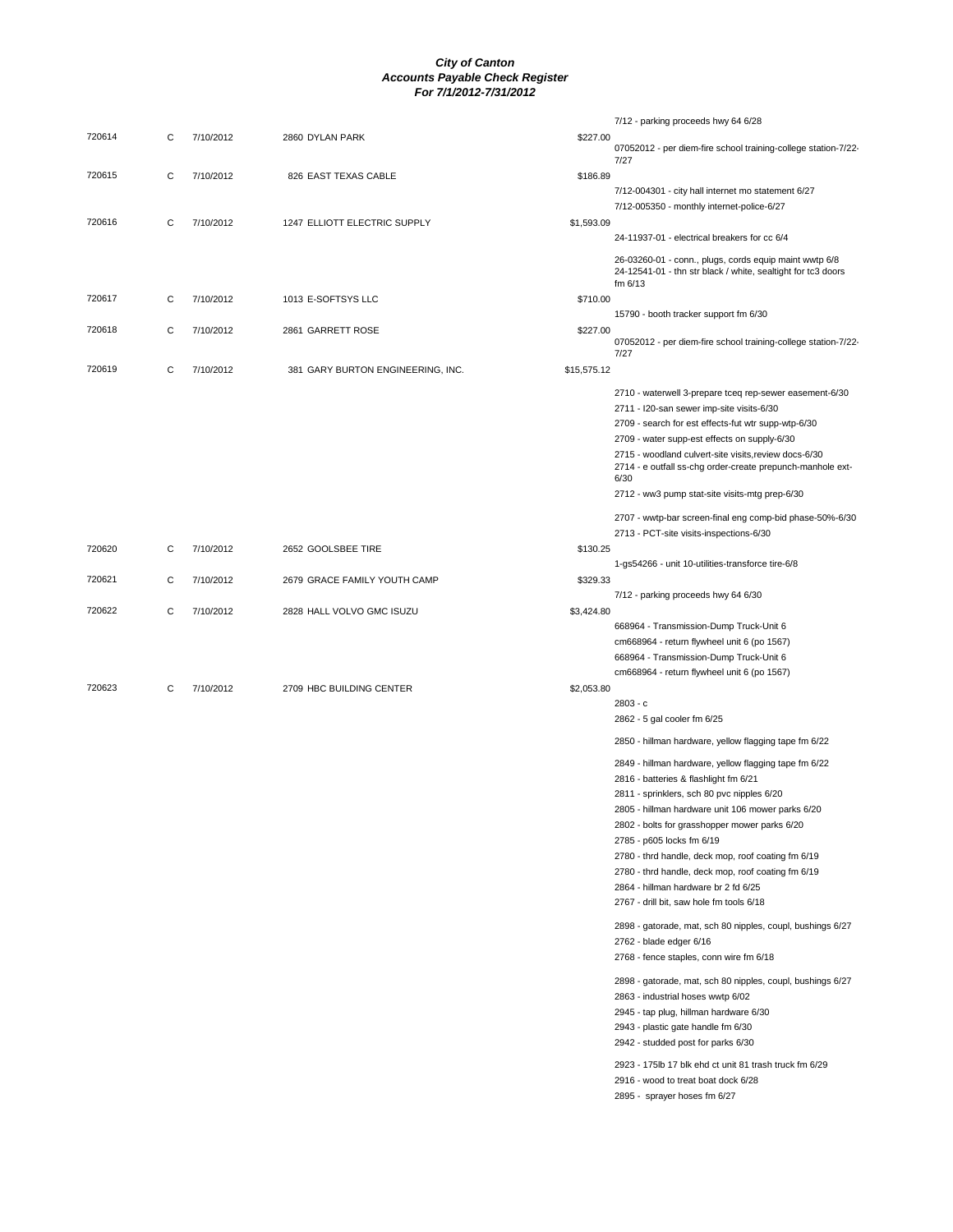| 720614 | С | 7/10/2012 | 2860 DYLAN PARK                   | \$227.00    | 7/12 - parking proceeds hwy 64 6/28                                                                                         |
|--------|---|-----------|-----------------------------------|-------------|-----------------------------------------------------------------------------------------------------------------------------|
|        |   |           |                                   |             | 07052012 - per diem-fire school training-college station-7/22-<br>7/27                                                      |
| 720615 | C | 7/10/2012 | 826 EAST TEXAS CABLE              | \$186.89    | 7/12-004301 - city hall internet mo statement 6/27                                                                          |
| 720616 | C | 7/10/2012 | 1247 ELLIOTT ELECTRIC SUPPLY      | \$1,593.09  | 7/12-005350 - monthly internet-police-6/27                                                                                  |
|        |   |           |                                   |             | 24-11937-01 - electrical breakers for cc 6/4<br>26-03260-01 - conn., plugs, cords equip maint wwtp 6/8                      |
|        |   |           |                                   |             | 24-12541-01 - thn str black / white, sealtight for tc3 doors<br>fm $6/13$                                                   |
| 720617 | C | 7/10/2012 | 1013 E-SOFTSYS LLC                | \$710.00    | 15790 - booth tracker support fm 6/30                                                                                       |
| 720618 | C | 7/10/2012 | 2861 GARRETT ROSE                 | \$227.00    | 07052012 - per diem-fire school training-college station-7/22-<br>7/27                                                      |
| 720619 | C | 7/10/2012 | 381 GARY BURTON ENGINEERING, INC. | \$15,575.12 |                                                                                                                             |
|        |   |           |                                   |             | 2710 - waterwell 3-prepare tceq rep-sewer easement-6/30                                                                     |
|        |   |           |                                   |             | 2711 - I20-san sewer imp-site visits-6/30<br>2709 - search for est effects-fut wtr supp-wtp-6/30                            |
|        |   |           |                                   |             | 2709 - water supp-est effects on supply-6/30                                                                                |
|        |   |           |                                   |             | 2715 - woodland culvert-site visits, review docs-6/30<br>2714 - e outfall ss-chg order-create prepunch-manhole ext-<br>6/30 |
|        |   |           |                                   |             | 2712 - ww3 pump stat-site visits-mtg prep-6/30                                                                              |
|        |   |           |                                   |             | 2707 - wwtp-bar screen-final eng comp-bid phase-50%-6/30<br>2713 - PCT-site visits-inspections-6/30                         |
| 720620 | C | 7/10/2012 | 2652 GOOLSBEE TIRE                | \$130.25    |                                                                                                                             |
|        |   |           |                                   |             | 1-gs54266 - unit 10-utilities-transforce tire-6/8                                                                           |
| 720621 | C | 7/10/2012 | 2679 GRACE FAMILY YOUTH CAMP      | \$329.33    | 7/12 - parking proceeds hwy 64 6/30                                                                                         |
| 720622 | C | 7/10/2012 | 2828 HALL VOLVO GMC ISUZU         | \$3,424.80  |                                                                                                                             |
|        |   |           |                                   |             | 668964 - Transmission-Dump Truck-Unit 6                                                                                     |
|        |   |           |                                   |             | cm668964 - return flywheel unit 6 (po 1567)                                                                                 |
|        |   |           |                                   |             | 668964 - Transmission-Dump Truck-Unit 6                                                                                     |
| 720623 | C | 7/10/2012 | 2709 HBC BUILDING CENTER          | \$2,053.80  | cm668964 - return flywheel unit 6 (po 1567)                                                                                 |
|        |   |           |                                   |             | $2803 - c$                                                                                                                  |
|        |   |           |                                   |             | 2862 - 5 gal cooler fm 6/25                                                                                                 |
|        |   |           |                                   |             | 2850 - hillman hardware, yellow flagging tape fm 6/22                                                                       |
|        |   |           |                                   |             | 2849 - hillman hardware, yellow flagging tape fm 6/22                                                                       |
|        |   |           |                                   |             | 2816 - batteries & flashlight fm 6/21                                                                                       |
|        |   |           |                                   |             | 2811 - sprinklers, sch 80 pvc nipples 6/20                                                                                  |
|        |   |           |                                   |             | 2805 - hillman hardware unit 106 mower parks 6/20                                                                           |
|        |   |           |                                   |             | 2802 - bolts for grasshopper mower parks 6/20<br>2785 - p605 locks fm 6/19                                                  |
|        |   |           |                                   |             | 2780 - thrd handle, deck mop, roof coating fm 6/19                                                                          |
|        |   |           |                                   |             | 2780 - thrd handle, deck mop, roof coating fm 6/19                                                                          |
|        |   |           |                                   |             | 2864 - hillman hardware br 2 fd 6/25                                                                                        |
|        |   |           |                                   |             | 2767 - drill bit, saw hole fm tools 6/18                                                                                    |
|        |   |           |                                   |             | 2898 - gatorade, mat, sch 80 nipples, coupl, bushings 6/27                                                                  |
|        |   |           |                                   |             | 2762 - blade edger 6/16                                                                                                     |
|        |   |           |                                   |             | 2768 - fence staples, conn wire fm 6/18                                                                                     |
|        |   |           |                                   |             | 2898 - gatorade, mat, sch 80 nipples, coupl, bushings 6/27                                                                  |
|        |   |           |                                   |             | 2863 - industrial hoses wwtp 6/02                                                                                           |
|        |   |           |                                   |             | 2945 - tap plug, hillman hardware 6/30                                                                                      |
|        |   |           |                                   |             | 2943 - plastic gate handle fm 6/30<br>2942 - studded post for parks 6/30                                                    |
|        |   |           |                                   |             |                                                                                                                             |
|        |   |           |                                   |             | 2923 - 175lb 17 blk ehd ct unit 81 trash truck fm 6/29<br>2916 - wood to treat boat dock 6/28                               |
|        |   |           |                                   |             | 2895 - sprayer hoses fm 6/27                                                                                                |
|        |   |           |                                   |             |                                                                                                                             |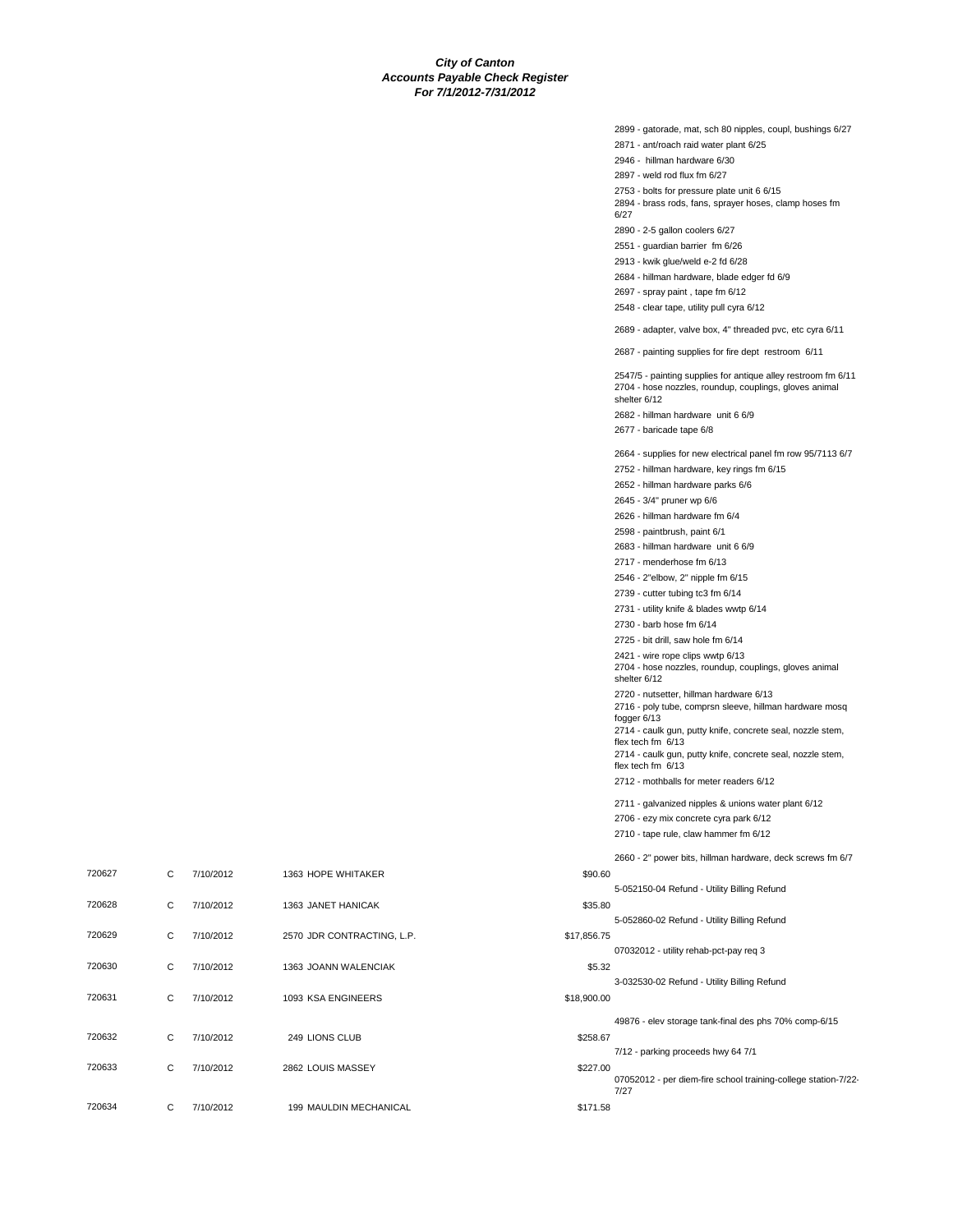|                            |             | 2899 - gatorade, mat, sch 80 nipples, coupl, bushings 6/27                                                                              |
|----------------------------|-------------|-----------------------------------------------------------------------------------------------------------------------------------------|
|                            |             | 2871 - ant/roach raid water plant 6/25                                                                                                  |
|                            |             | 2946 - hillman hardware 6/30                                                                                                            |
|                            |             | 2897 - weld rod flux fm 6/27                                                                                                            |
|                            |             | 2753 - bolts for pressure plate unit 6 6/15                                                                                             |
|                            |             | 2894 - brass rods, fans, sprayer hoses, clamp hoses fm<br>6/27                                                                          |
|                            |             | 2890 - 2-5 gallon coolers 6/27                                                                                                          |
|                            |             | 2551 - guardian barrier fm 6/26                                                                                                         |
|                            |             | 2913 - kwik glue/weld e-2 fd 6/28                                                                                                       |
|                            |             | 2684 - hillman hardware, blade edger fd 6/9                                                                                             |
|                            |             | 2697 - spray paint, tape fm 6/12                                                                                                        |
|                            |             | 2548 - clear tape, utility pull cyra 6/12                                                                                               |
|                            |             | 2689 - adapter, valve box, 4" threaded pvc, etc cyra 6/11                                                                               |
|                            |             | 2687 - painting supplies for fire dept restroom 6/11                                                                                    |
|                            |             | 2547/5 - painting supplies for antique alley restroom fm 6/11<br>2704 - hose nozzles, roundup, couplings, gloves animal<br>shelter 6/12 |
|                            |             | 2682 - hillman hardware unit 6 6/9                                                                                                      |
|                            |             | 2677 - baricade tape 6/8                                                                                                                |
|                            |             | 2664 - supplies for new electrical panel fm row 95/7113 6/7                                                                             |
|                            |             | 2752 - hillman hardware, key rings fm 6/15                                                                                              |
|                            |             | 2652 - hillman hardware parks 6/6                                                                                                       |
|                            |             | 2645 - 3/4" pruner wp 6/6                                                                                                               |
|                            |             | 2626 - hillman hardware fm 6/4                                                                                                          |
|                            |             | 2598 - paintbrush, paint 6/1                                                                                                            |
|                            |             | 2683 - hillman hardware unit 6 6/9                                                                                                      |
|                            |             | 2717 - menderhose fm 6/13                                                                                                               |
|                            |             | 2546 - 2"elbow, 2" nipple fm 6/15                                                                                                       |
|                            |             | 2739 - cutter tubing tc3 fm 6/14                                                                                                        |
|                            |             | 2731 - utility knife & blades wwtp 6/14                                                                                                 |
|                            |             | 2730 - barb hose fm 6/14                                                                                                                |
|                            |             | 2725 - bit drill, saw hole fm 6/14                                                                                                      |
|                            |             | 2421 - wire rope clips wwtp 6/13                                                                                                        |
|                            |             | 2704 - hose nozzles, roundup, couplings, gloves animal<br>shelter 6/12                                                                  |
|                            |             | 2720 - nutsetter, hillman hardware 6/13                                                                                                 |
|                            |             | 2716 - poly tube, comprsn sleeve, hillman hardware mosq<br>fogger 6/13                                                                  |
|                            |             | 2714 - caulk gun, putty knife, concrete seal, nozzle stem,<br>flex tech fm 6/13                                                         |
|                            |             | 2714 - caulk gun, putty knife, concrete seal, nozzle stem,<br>flex tech fm 6/13                                                         |
|                            |             | 2712 - mothballs for meter readers 6/12                                                                                                 |
|                            |             | 2711 - galvanized nipples & unions water plant 6/12                                                                                     |
|                            |             | 2706 - ezy mix concrete cyra park 6/12                                                                                                  |
|                            |             | 2710 - tape rule, claw hammer fm 6/12                                                                                                   |
| 1363 HOPE WHITAKER         | \$90.60     | 2660 - 2" power bits, hillman hardware, deck screws fm 6/7                                                                              |
|                            |             | 5-052150-04 Refund - Utility Billing Refund                                                                                             |
| 1363 JANET HANICAK         | \$35.80     |                                                                                                                                         |
|                            |             | 5-052860-02 Refund - Utility Billing Refund                                                                                             |
| 2570 JDR CONTRACTING, L.P. | \$17,856.75 |                                                                                                                                         |
|                            |             | 07032012 - utility rehab-pct-pay req 3                                                                                                  |
| 1363 JOANN WALENCIAK       | \$5.32      |                                                                                                                                         |
|                            |             | 3-032530-02 Refund - Utility Billing Refund                                                                                             |
| 1093 KSA ENGINEERS         | \$18,900.00 |                                                                                                                                         |
|                            |             |                                                                                                                                         |
|                            |             | 49876 - elev storage tank-final des phs 70% comp-6/15                                                                                   |
| 249 LIONS CLUB             | \$258.67    |                                                                                                                                         |
|                            |             | 7/12 - parking proceeds hwy 64 7/1                                                                                                      |
| 2862 LOUIS MASSEY          | \$227.00    | 07052012 - per diem-fire school training-college station-7/22-<br>7/27                                                                  |

720634 C 7/10/2012 199 MAULDIN MECHANICAL \$171.58

720627 C 7/10/2012

720628 C 7/10/2012

720629 C 7/10/2012

720630 C 7/10/2012

720631 C 7/10/2012

720632 C 7/10/2012

720633 C 7/10/2012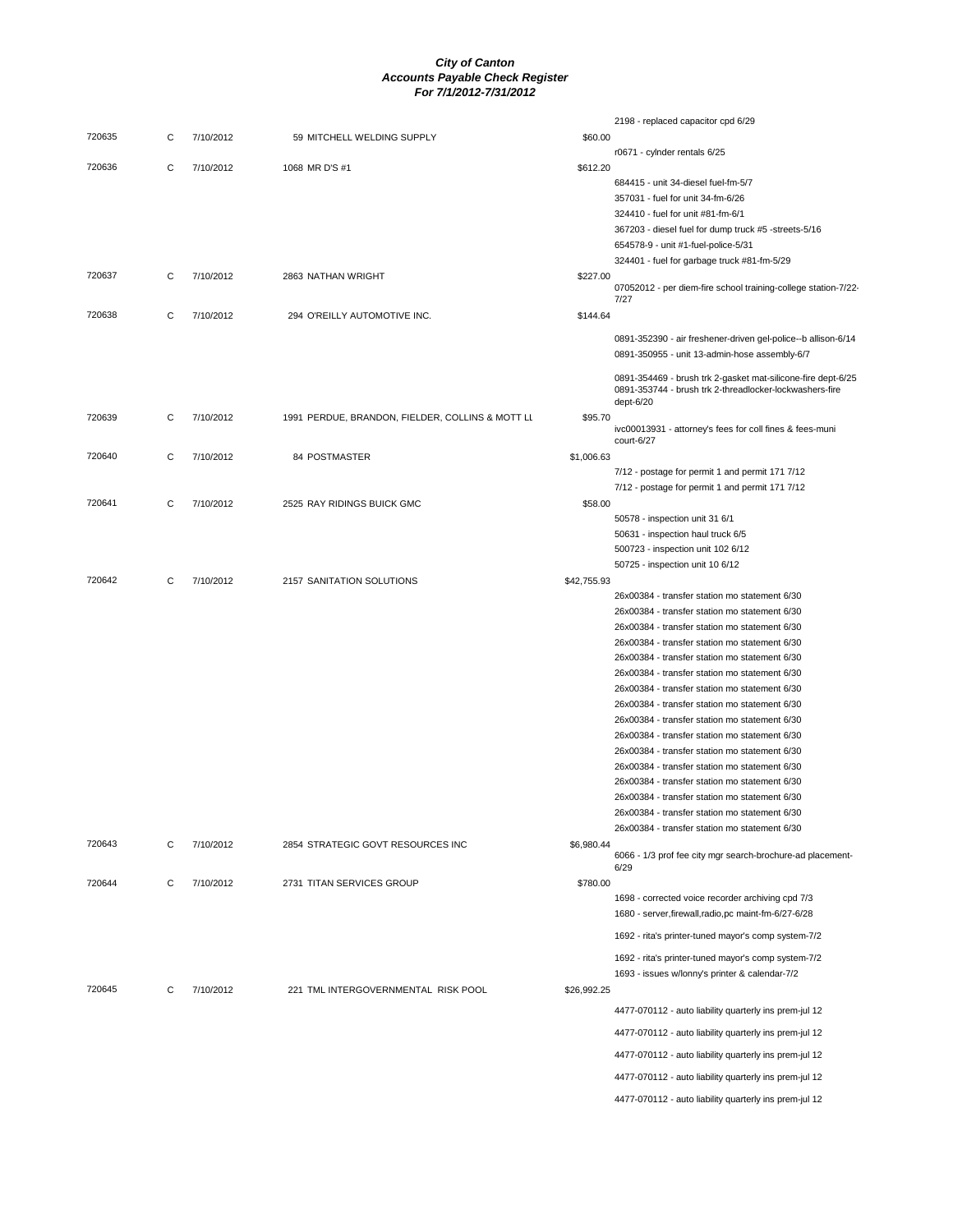|        |   |           |                                                  |             | 2198 - replaced capacitor cpd 6/29                                                                                                   |
|--------|---|-----------|--------------------------------------------------|-------------|--------------------------------------------------------------------------------------------------------------------------------------|
| 720635 | C | 7/10/2012 | 59 MITCHELL WELDING SUPPLY                       | \$60.00     |                                                                                                                                      |
| 720636 | C | 7/10/2012 | 1068 MR D'S #1                                   | \$612.20    | r0671 - cylnder rentals 6/25                                                                                                         |
|        |   |           |                                                  |             | 684415 - unit 34-diesel fuel-fm-5/7                                                                                                  |
|        |   |           |                                                  |             | 357031 - fuel for unit 34-fm-6/26                                                                                                    |
|        |   |           |                                                  |             | 324410 - fuel for unit #81-fm-6/1                                                                                                    |
|        |   |           |                                                  |             | 367203 - diesel fuel for dump truck #5 -streets-5/16                                                                                 |
|        |   |           |                                                  |             | 654578-9 - unit #1-fuel-police-5/31                                                                                                  |
|        |   |           |                                                  |             | 324401 - fuel for garbage truck #81-fm-5/29                                                                                          |
| 720637 | C | 7/10/2012 | 2863 NATHAN WRIGHT                               | \$227.00    | 07052012 - per diem-fire school training-college station-7/22-<br>7/27                                                               |
| 720638 | C | 7/10/2012 | 294 O'REILLY AUTOMOTIVE INC.                     | \$144.64    |                                                                                                                                      |
|        |   |           |                                                  |             | 0891-352390 - air freshener-driven gel-police--b allison-6/14<br>0891-350955 - unit 13-admin-hose assembly-6/7                       |
|        |   |           |                                                  |             | 0891-354469 - brush trk 2-gasket mat-silicone-fire dept-6/25<br>0891-353744 - brush trk 2-threadlocker-lockwashers-fire<br>dept-6/20 |
| 720639 | C | 7/10/2012 | 1991 PERDUE, BRANDON, FIELDER, COLLINS & MOTT LL | \$95.70     | ivc00013931 - attorney's fees for coll fines & fees-muni<br>court-6/27                                                               |
| 720640 | C | 7/10/2012 | 84 POSTMASTER                                    | \$1,006.63  |                                                                                                                                      |
|        |   |           |                                                  |             | 7/12 - postage for permit 1 and permit 171 7/12                                                                                      |
|        |   |           |                                                  |             | 7/12 - postage for permit 1 and permit 171 7/12                                                                                      |
| 720641 | C | 7/10/2012 | 2525 RAY RIDINGS BUICK GMC                       | \$58.00     |                                                                                                                                      |
|        |   |           |                                                  |             | 50578 - inspection unit 31 6/1                                                                                                       |
|        |   |           |                                                  |             | 50631 - inspection haul truck 6/5                                                                                                    |
|        |   |           |                                                  |             | 500723 - inspection unit 102 6/12                                                                                                    |
|        |   |           |                                                  |             | 50725 - inspection unit 10 6/12                                                                                                      |
| 720642 | C | 7/10/2012 | 2157 SANITATION SOLUTIONS                        | \$42,755.93 |                                                                                                                                      |
|        |   |           |                                                  |             | 26x00384 - transfer station mo statement 6/30                                                                                        |
|        |   |           |                                                  |             | 26x00384 - transfer station mo statement 6/30<br>26x00384 - transfer station mo statement 6/30                                       |
|        |   |           |                                                  |             | 26x00384 - transfer station mo statement 6/30                                                                                        |
|        |   |           |                                                  |             | 26x00384 - transfer station mo statement 6/30                                                                                        |
|        |   |           |                                                  |             | 26x00384 - transfer station mo statement 6/30                                                                                        |
|        |   |           |                                                  |             | 26x00384 - transfer station mo statement 6/30                                                                                        |
|        |   |           |                                                  |             | 26x00384 - transfer station mo statement 6/30                                                                                        |
|        |   |           |                                                  |             | 26x00384 - transfer station mo statement 6/30                                                                                        |
|        |   |           |                                                  |             | 26x00384 - transfer station mo statement 6/30                                                                                        |
|        |   |           |                                                  |             | 26x00384 - transfer station mo statement 6/30                                                                                        |
|        |   |           |                                                  |             | 26x00384 - transfer station mo statement 6/30                                                                                        |
|        |   |           |                                                  |             | 26x00384 - transfer station mo statement 6/30                                                                                        |
|        |   |           |                                                  |             | 26x00384 - transfer station mo statement 6/30                                                                                        |
|        |   |           |                                                  |             | 26x00384 - transfer station mo statement 6/30                                                                                        |
| 720643 | C | 7/10/2012 | 2854 STRATEGIC GOVT RESOURCES INC                | \$6,980.44  | 26x00384 - transfer station mo statement 6/30                                                                                        |
|        |   |           |                                                  |             | 6066 - 1/3 prof fee city mgr search-brochure-ad placement-<br>6/29                                                                   |
| 720644 | C | 7/10/2012 | 2731 TITAN SERVICES GROUP                        | \$780.00    |                                                                                                                                      |
|        |   |           |                                                  |             | 1698 - corrected voice recorder archiving cpd 7/3<br>1680 - server, firewall, radio, pc maint-fm-6/27-6/28                           |
|        |   |           |                                                  |             | 1692 - rita's printer-tuned mayor's comp system-7/2                                                                                  |
|        |   |           |                                                  |             | 1692 - rita's printer-tuned mayor's comp system-7/2                                                                                  |
|        |   |           |                                                  |             | 1693 - issues w/lonny's printer & calendar-7/2                                                                                       |
| 720645 | C | 7/10/2012 | 221 TML INTERGOVERNMENTAL RISK POOL              | \$26,992.25 |                                                                                                                                      |
|        |   |           |                                                  |             | 4477-070112 - auto liability quarterly ins prem-jul 12                                                                               |
|        |   |           |                                                  |             | 4477-070112 - auto liability quarterly ins prem-jul 12                                                                               |
|        |   |           |                                                  |             | 4477-070112 - auto liability quarterly ins prem-jul 12                                                                               |
|        |   |           |                                                  |             | 4477-070112 - auto liability quarterly ins prem-jul 12                                                                               |
|        |   |           |                                                  |             |                                                                                                                                      |
|        |   |           |                                                  |             | 4477-070112 - auto liability quarterly ins prem-jul 12                                                                               |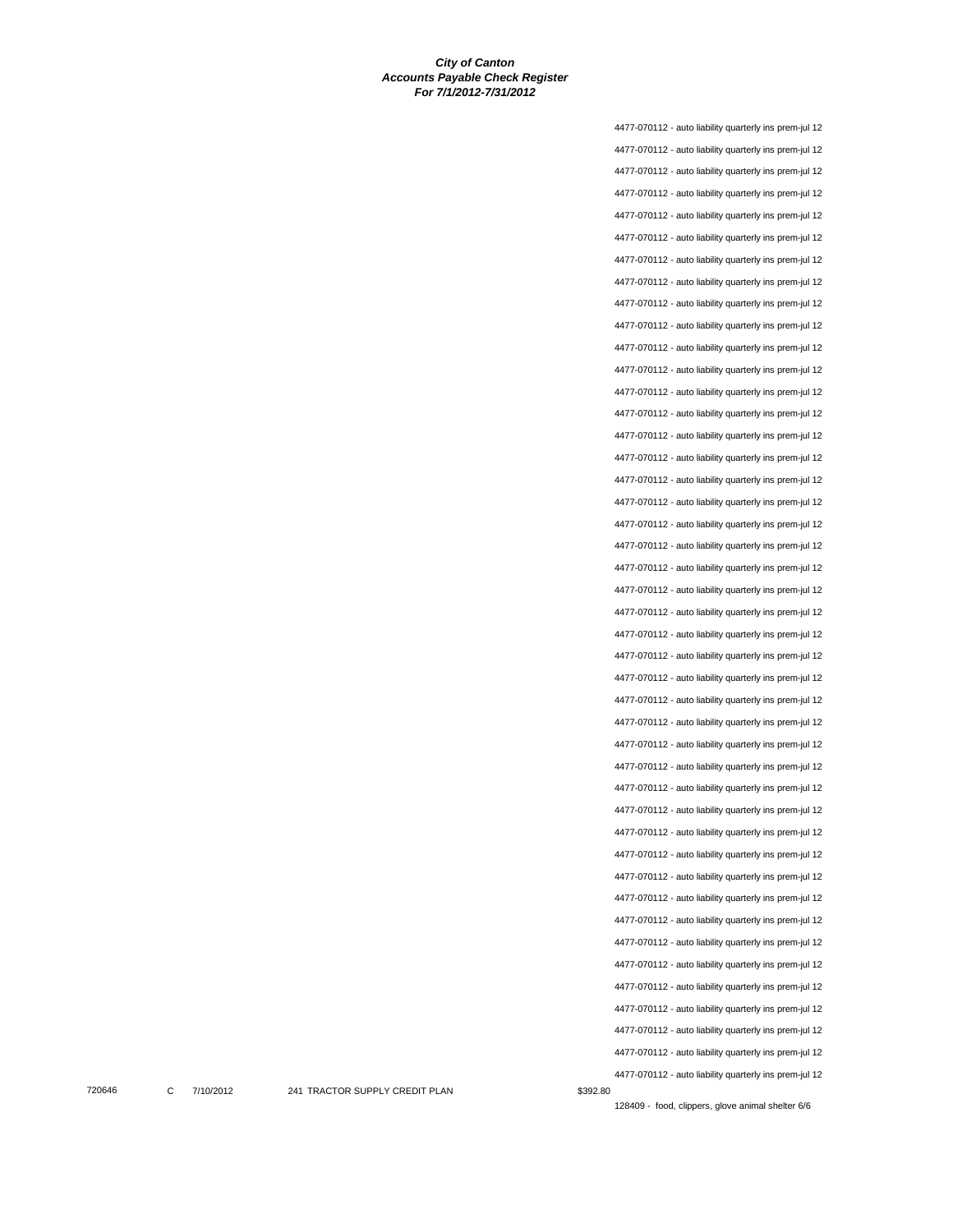4477-070112 - auto liability quarterly ins prem-jul 12 4477-070112 - auto liability quarterly ins prem-jul 12 4477-070112 - auto liability quarterly ins prem-jul 12 4477-070112 - auto liability quarterly ins prem-jul 12 4477-070112 - auto liability quarterly ins prem-jul 12 4477-070112 - auto liability quarterly ins prem-jul 12 4477-070112 - auto liability quarterly ins prem-jul 12 4477-070112 - auto liability quarterly ins prem-jul 12 4477-070112 - auto liability quarterly ins prem-jul 12 4477-070112 - auto liability quarterly ins prem-jul 12 4477-070112 - auto liability quarterly ins prem-jul 12 4477-070112 - auto liability quarterly ins prem-jul 12 4477-070112 - auto liability quarterly ins prem-jul 12 4477-070112 - auto liability quarterly ins prem-jul 12 4477-070112 - auto liability quarterly ins prem-jul 12 4477-070112 - auto liability quarterly ins prem-jul 12 4477-070112 - auto liability quarterly ins prem-jul 12 4477-070112 - auto liability quarterly ins prem-jul 12 4477-070112 - auto liability quarterly ins prem-jul 12 4477-070112 - auto liability quarterly ins prem-jul 12 4477-070112 - auto liability quarterly ins prem-jul 12 4477-070112 - auto liability quarterly ins prem-jul 12 4477-070112 - auto liability quarterly ins prem-jul 12 4477-070112 - auto liability quarterly ins prem-jul 12 4477-070112 - auto liability quarterly ins prem-jul 12 4477-070112 - auto liability quarterly ins prem-jul 12 4477-070112 - auto liability quarterly ins prem-jul 12 4477-070112 - auto liability quarterly ins prem-jul 12 4477-070112 - auto liability quarterly ins prem-jul 12 4477-070112 - auto liability quarterly ins prem-jul 12 4477-070112 - auto liability quarterly ins prem-jul 12 4477-070112 - auto liability quarterly ins prem-jul 12 4477-070112 - auto liability quarterly ins prem-jul 12 4477-070112 - auto liability quarterly ins prem-jul 12 4477-070112 - auto liability quarterly ins prem-jul 12 4477-070112 - auto liability quarterly ins prem-jul 12 4477-070112 - auto liability quarterly ins prem-jul 12 4477-070112 - auto liability quarterly ins prem-jul 12 4477-070112 - auto liability quarterly ins prem-jul 12 4477-070112 - auto liability quarterly ins prem-jul 12 4477-070112 - auto liability quarterly ins prem-jul 12 4477-070112 - auto liability quarterly ins prem-jul 12 4477-070112 - auto liability quarterly ins prem-jul 12 4477-070112 - auto liability quarterly ins prem-jul 12

720646 C 7/10/2012 241 TRACTOR SUPPLY CREDIT PLAN \$392.80

128409 - food, clippers, glove animal shelter 6/6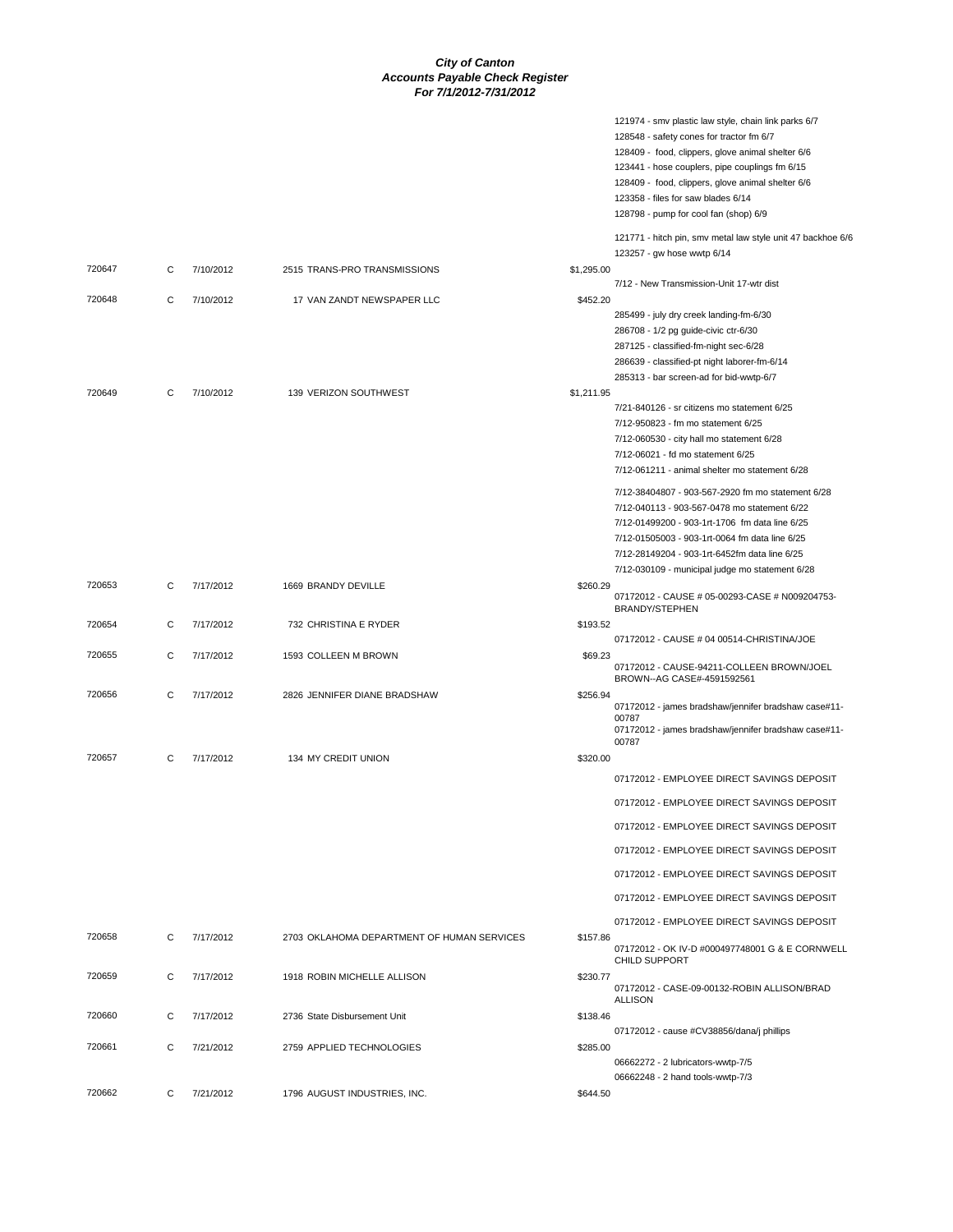|        |   |           |                                            |            | 121974 - smv plastic law style, chain link parks 6/7<br>128548 - safety cones for tractor fm 6/7  |
|--------|---|-----------|--------------------------------------------|------------|---------------------------------------------------------------------------------------------------|
|        |   |           |                                            |            | 128409 - food, clippers, glove animal shelter 6/6                                                 |
|        |   |           |                                            |            | 123441 - hose couplers, pipe couplings fm 6/15                                                    |
|        |   |           |                                            |            | 128409 - food, clippers, glove animal shelter 6/6                                                 |
|        |   |           |                                            |            | 123358 - files for saw blades 6/14                                                                |
|        |   |           |                                            |            | 128798 - pump for cool fan (shop) 6/9                                                             |
|        |   |           |                                            |            | 121771 - hitch pin, smv metal law style unit 47 backhoe 6/6<br>123257 - gw hose wwtp 6/14         |
| 720647 | C | 7/10/2012 | 2515 TRANS-PRO TRANSMISSIONS               | \$1,295.00 |                                                                                                   |
|        |   |           |                                            |            | 7/12 - New Transmission-Unit 17-wtr dist                                                          |
| 720648 | C | 7/10/2012 | 17 VAN ZANDT NEWSPAPER LLC                 | \$452.20   | 285499 - july dry creek landing-fm-6/30                                                           |
|        |   |           |                                            |            | 286708 - 1/2 pg guide-civic ctr-6/30                                                              |
|        |   |           |                                            |            | 287125 - classified-fm-night sec-6/28                                                             |
|        |   |           |                                            |            | 286639 - classified-pt night laborer-fm-6/14                                                      |
|        |   |           |                                            |            | 285313 - bar screen-ad for bid-wwtp-6/7                                                           |
| 720649 | C | 7/10/2012 | 139 VERIZON SOUTHWEST                      | \$1,211.95 | 7/21-840126 - sr citizens mo statement 6/25                                                       |
|        |   |           |                                            |            | 7/12-950823 - fm mo statement 6/25                                                                |
|        |   |           |                                            |            | 7/12-060530 - city hall mo statement 6/28                                                         |
|        |   |           |                                            |            | 7/12-06021 - fd mo statement 6/25                                                                 |
|        |   |           |                                            |            | 7/12-061211 - animal shelter mo statement 6/28                                                    |
|        |   |           |                                            |            | 7/12-38404807 - 903-567-2920 fm mo statement 6/28<br>7/12-040113 - 903-567-0478 mo statement 6/22 |
|        |   |           |                                            |            | 7/12-01499200 - 903-1rt-1706 fm data line 6/25                                                    |
|        |   |           |                                            |            | 7/12-01505003 - 903-1rt-0064 fm data line 6/25                                                    |
|        |   |           |                                            |            | 7/12-28149204 - 903-1rt-6452fm data line 6/25                                                     |
|        |   |           |                                            |            | 7/12-030109 - municipal judge mo statement 6/28                                                   |
| 720653 | C | 7/17/2012 | 1669 BRANDY DEVILLE                        | \$260.29   | 07172012 - CAUSE # 05-00293-CASE # N009204753-<br>BRANDY/STEPHEN                                  |
| 720654 | C | 7/17/2012 | 732 CHRISTINA E RYDER                      | \$193.52   |                                                                                                   |
| 720655 | C | 7/17/2012 | 1593 COLLEEN M BROWN                       | \$69.23    | 07172012 - CAUSE # 04 00514-CHRISTINA/JOE                                                         |
|        |   |           |                                            |            | 07172012 - CAUSE-94211-COLLEEN BROWN/JOEL<br>BROWN--AG CASE#-4591592561                           |
| 720656 | C | 7/17/2012 | 2826 JENNIFER DIANE BRADSHAW               | \$256.94   | 07172012 - james bradshaw/jennifer bradshaw case#11-<br>00787                                     |
|        |   |           |                                            |            | 07172012 - james bradshaw/jennifer bradshaw case#11-<br>00787                                     |
| 720657 | C | 7/17/2012 | 134 MY CREDIT UNION                        | \$320.00   |                                                                                                   |
|        |   |           |                                            |            | 07172012 - EMPLOYEE DIRECT SAVINGS DEPOSIT                                                        |
|        |   |           |                                            |            | 07172012 - EMPLOYEE DIRECT SAVINGS DEPOSIT                                                        |
|        |   |           |                                            |            | 07172012 - EMPLOYEE DIRECT SAVINGS DEPOSIT                                                        |
|        |   |           |                                            |            | 07172012 - EMPLOYEE DIRECT SAVINGS DEPOSIT                                                        |
|        |   |           |                                            |            | 07172012 - EMPLOYEE DIRECT SAVINGS DEPOSIT                                                        |
|        |   |           |                                            |            | 07172012 - EMPLOYEE DIRECT SAVINGS DEPOSIT                                                        |
|        |   |           |                                            |            | 07172012 - EMPLOYEE DIRECT SAVINGS DEPOSIT                                                        |
| 720658 | C | 7/17/2012 | 2703 OKLAHOMA DEPARTMENT OF HUMAN SERVICES | \$157.86   | 07172012 - OK IV-D #000497748001 G & E CORNWELL<br>CHILD SUPPORT                                  |
| 720659 | C | 7/17/2012 | 1918 ROBIN MICHELLE ALLISON                | \$230.77   | 07172012 - CASE-09-00132-ROBIN ALLISON/BRAD<br><b>ALLISON</b>                                     |
| 720660 | C | 7/17/2012 | 2736 State Disbursement Unit               | \$138.46   | 07172012 - cause #CV38856/dana/j phillips                                                         |
| 720661 | C | 7/21/2012 | 2759 APPLIED TECHNOLOGIES                  | \$285.00   |                                                                                                   |
|        |   |           |                                            |            | 06662272 - 2 lubricators-wwtp-7/5                                                                 |
|        |   |           |                                            |            | 06662248 - 2 hand tools-wwtp-7/3                                                                  |
| 720662 | C | 7/21/2012 | 1796 AUGUST INDUSTRIES, INC.               | \$644.50   |                                                                                                   |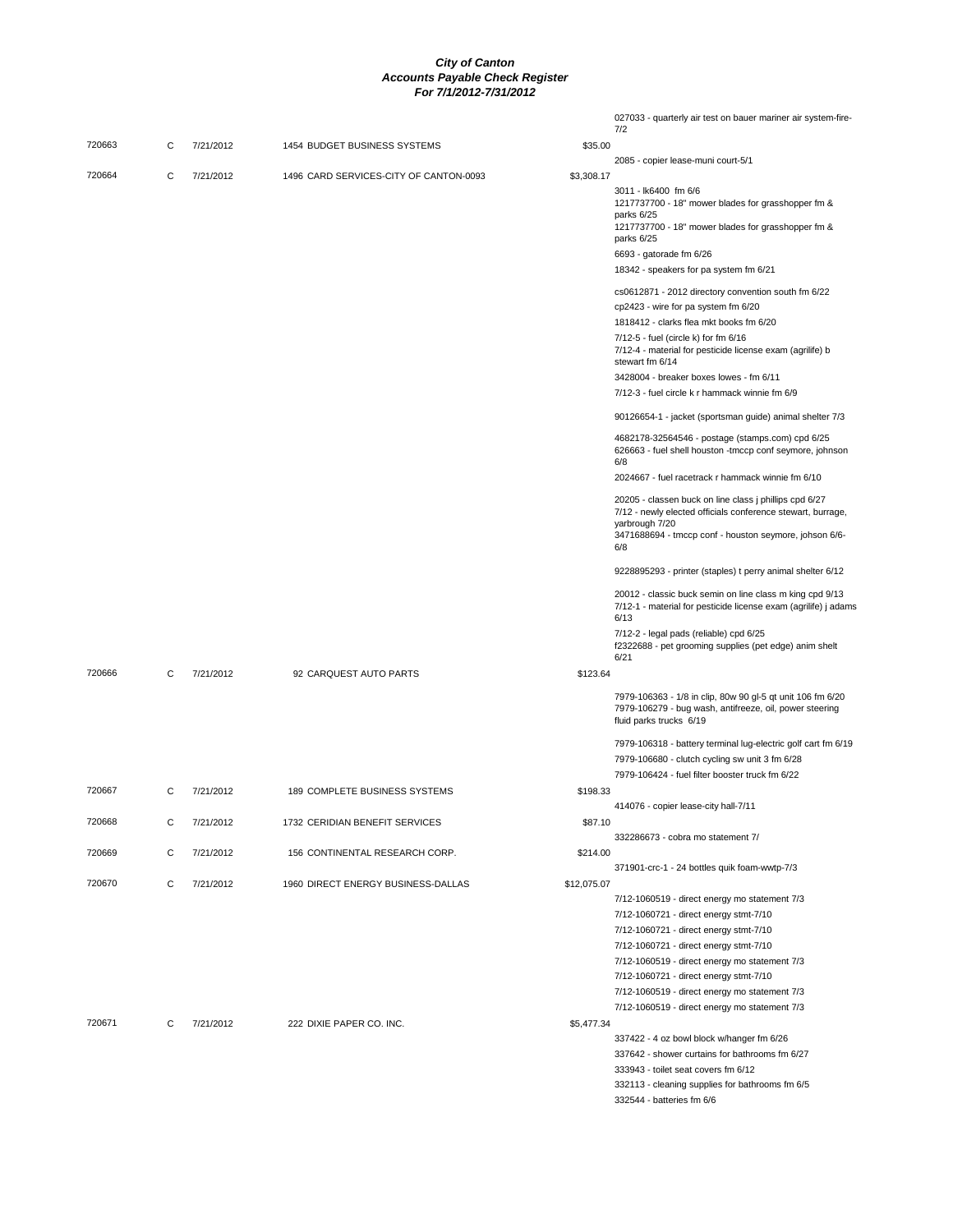|        |   |           |                                        |             | 027033 - quarterly air test on bauer mariner air system-fire-                                                |
|--------|---|-----------|----------------------------------------|-------------|--------------------------------------------------------------------------------------------------------------|
| 720663 |   |           |                                        |             | 7/2                                                                                                          |
|        | С | 7/21/2012 | 1454 BUDGET BUSINESS SYSTEMS           | \$35.00     | 2085 - copier lease-muni court-5/1                                                                           |
| 720664 | C | 7/21/2012 | 1496 CARD SERVICES-CITY OF CANTON-0093 | \$3,308.17  |                                                                                                              |
|        |   |           |                                        |             | 3011 - Ik6400 fm 6/6                                                                                         |
|        |   |           |                                        |             | 1217737700 - 18" mower blades for grasshopper fm &                                                           |
|        |   |           |                                        |             | parks 6/25<br>1217737700 - 18" mower blades for grasshopper fm &                                             |
|        |   |           |                                        |             | parks 6/25                                                                                                   |
|        |   |           |                                        |             | 6693 - gatorade fm 6/26                                                                                      |
|        |   |           |                                        |             | 18342 - speakers for pa system fm 6/21                                                                       |
|        |   |           |                                        |             | cs0612871 - 2012 directory convention south fm 6/22                                                          |
|        |   |           |                                        |             | cp2423 - wire for pa system fm 6/20                                                                          |
|        |   |           |                                        |             | 1818412 - clarks flea mkt books fm 6/20                                                                      |
|        |   |           |                                        |             | 7/12-5 - fuel (circle k) for fm 6/16                                                                         |
|        |   |           |                                        |             | 7/12-4 - material for pesticide license exam (agrilife) b<br>stewart fm 6/14                                 |
|        |   |           |                                        |             | 3428004 - breaker boxes lowes - fm 6/11                                                                      |
|        |   |           |                                        |             | 7/12-3 - fuel circle k r hammack winnie fm 6/9                                                               |
|        |   |           |                                        |             |                                                                                                              |
|        |   |           |                                        |             | 90126654-1 - jacket (sportsman guide) animal shelter 7/3                                                     |
|        |   |           |                                        |             | 4682178-32564546 - postage (stamps.com) cpd 6/25<br>626663 - fuel shell houston -tmccp conf seymore, johnson |
|        |   |           |                                        |             | 6/8                                                                                                          |
|        |   |           |                                        |             | 2024667 - fuel racetrack r hammack winnie fm 6/10                                                            |
|        |   |           |                                        |             | 20205 - classen buck on line class j phillips cpd 6/27                                                       |
|        |   |           |                                        |             | 7/12 - newly elected officials conference stewart, burrage,<br>yarbrough 7/20                                |
|        |   |           |                                        |             | 3471688694 - tmccp conf - houston seymore, johson 6/6-                                                       |
|        |   |           |                                        |             | 6/8                                                                                                          |
|        |   |           |                                        |             | 9228895293 - printer (staples) t perry animal shelter 6/12                                                   |
|        |   |           |                                        |             | 20012 - classic buck semin on line class m king cpd 9/13                                                     |
|        |   |           |                                        |             | 7/12-1 - material for pesticide license exam (agrilife) j adams                                              |
|        |   |           |                                        |             | 6/13<br>7/12-2 - legal pads (reliable) cpd 6/25                                                              |
|        |   |           |                                        |             | f2322688 - pet grooming supplies (pet edge) anim shelt                                                       |
|        |   |           |                                        |             | 6/21                                                                                                         |
| 720666 | С | 7/21/2012 | 92 CARQUEST AUTO PARTS                 | \$123.64    |                                                                                                              |
|        |   |           |                                        |             | 7979-106363 - 1/8 in clip, 80w 90 gl-5 qt unit 106 fm 6/20                                                   |
|        |   |           |                                        |             | 7979-106279 - bug wash, antifreeze, oil, power steering                                                      |
|        |   |           |                                        |             | fluid parks trucks 6/19                                                                                      |
|        |   |           |                                        |             | 7979-106318 - battery terminal lug-electric golf cart fm 6/19                                                |
|        |   |           |                                        |             | 7979-106680 - clutch cycling sw unit 3 fm 6/28                                                               |
|        |   |           |                                        |             | 7979-106424 - fuel filter booster truck fm 6/22                                                              |
| 720667 | С | 7/21/2012 | 189 COMPLETE BUSINESS SYSTEMS          | \$198.33    |                                                                                                              |
|        |   |           |                                        |             | 414076 - copier lease-city hall-7/11                                                                         |
| 720668 | С | 7/21/2012 | 1732 CERIDIAN BENEFIT SERVICES         | \$87.10     |                                                                                                              |
|        |   |           |                                        |             | 332286673 - cobra mo statement 7/                                                                            |
| 720669 | С | 7/21/2012 | 156 CONTINENTAL RESEARCH CORP.         | \$214.00    | 371901-crc-1 - 24 bottles quik foam-wwtp-7/3                                                                 |
| 720670 | С | 7/21/2012 | 1960 DIRECT ENERGY BUSINESS-DALLAS     | \$12,075.07 |                                                                                                              |
|        |   |           |                                        |             | 7/12-1060519 - direct energy mo statement 7/3                                                                |
|        |   |           |                                        |             | 7/12-1060721 - direct energy stmt-7/10                                                                       |
|        |   |           |                                        |             | 7/12-1060721 - direct energy stmt-7/10                                                                       |
|        |   |           |                                        |             | 7/12-1060721 - direct energy stmt-7/10                                                                       |
|        |   |           |                                        |             | 7/12-1060519 - direct energy mo statement 7/3                                                                |
|        |   |           |                                        |             | 7/12-1060721 - direct energy stmt-7/10                                                                       |
|        |   |           |                                        |             | 7/12-1060519 - direct energy mo statement 7/3                                                                |
|        |   |           |                                        |             | 7/12-1060519 - direct energy mo statement 7/3                                                                |
| 720671 | С | 7/21/2012 | 222 DIXIE PAPER CO. INC.               | \$5,477.34  |                                                                                                              |
|        |   |           |                                        |             | 337422 - 4 oz bowl block w/hanger fm 6/26                                                                    |
|        |   |           |                                        |             | 337642 - shower curtains for bathrooms fm 6/27                                                               |
|        |   |           |                                        |             | 333943 - toilet seat covers fm 6/12                                                                          |
|        |   |           |                                        |             | 332113 - cleaning supplies for bathrooms fm 6/5                                                              |
|        |   |           |                                        |             | 332544 - batteries fm 6/6                                                                                    |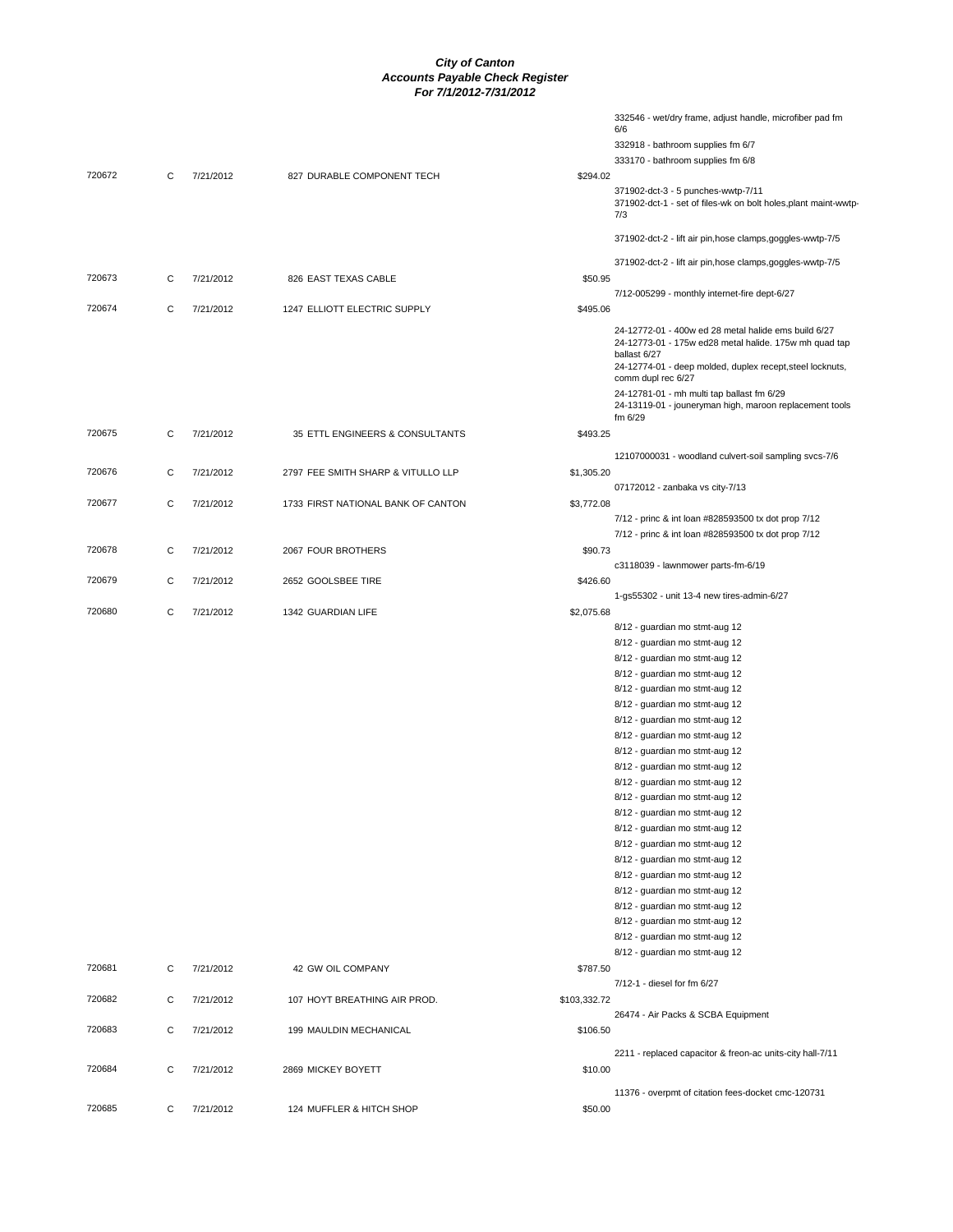|        |   |           |                                    |              | 332546 - wet/dry frame, adjust handle, microfiber pad fm<br>6/6<br>332918 - bathroom supplies fm 6/7<br>333170 - bathroom supplies fm 6/8                                                                                                                                                                                             |
|--------|---|-----------|------------------------------------|--------------|---------------------------------------------------------------------------------------------------------------------------------------------------------------------------------------------------------------------------------------------------------------------------------------------------------------------------------------|
| 720672 | C | 7/21/2012 | 827 DURABLE COMPONENT TECH         | \$294.02     |                                                                                                                                                                                                                                                                                                                                       |
|        |   |           |                                    |              | 371902-dct-3 - 5 punches-wwtp-7/11<br>371902-dct-1 - set of files-wk on bolt holes, plant maint-wwtp-<br>7/3                                                                                                                                                                                                                          |
|        |   |           |                                    |              | 371902-dct-2 - lift air pin, hose clamps, goggles-wwtp-7/5                                                                                                                                                                                                                                                                            |
|        |   |           |                                    |              | 371902-dct-2 - lift air pin, hose clamps, goggles-wwtp-7/5                                                                                                                                                                                                                                                                            |
| 720673 | С | 7/21/2012 | 826 EAST TEXAS CABLE               | \$50.95      | 7/12-005299 - monthly internet-fire dept-6/27                                                                                                                                                                                                                                                                                         |
| 720674 | С | 7/21/2012 | 1247 ELLIOTT ELECTRIC SUPPLY       | \$495.06     |                                                                                                                                                                                                                                                                                                                                       |
|        |   |           |                                    |              | 24-12772-01 - 400w ed 28 metal halide ems build 6/27<br>24-12773-01 - 175w ed28 metal halide. 175w mh quad tap<br>ballast 6/27<br>24-12774-01 - deep molded, duplex recept, steel locknuts,<br>comm dupl rec 6/27<br>24-12781-01 - mh multi tap ballast fm 6/29<br>24-13119-01 - jouneryman high, maroon replacement tools<br>fm 6/29 |
| 720675 | С | 7/21/2012 | 35 ETTL ENGINEERS & CONSULTANTS    | \$493.25     |                                                                                                                                                                                                                                                                                                                                       |
|        |   |           |                                    |              | 12107000031 - woodland culvert-soil sampling svcs-7/6                                                                                                                                                                                                                                                                                 |
| 720676 | С | 7/21/2012 | 2797 FEE SMITH SHARP & VITULLO LLP | \$1,305.20   |                                                                                                                                                                                                                                                                                                                                       |
| 720677 | C | 7/21/2012 | 1733 FIRST NATIONAL BANK OF CANTON | \$3,772.08   | 07172012 - zanbaka vs city-7/13                                                                                                                                                                                                                                                                                                       |
|        |   |           |                                    |              | 7/12 - princ & int loan #828593500 tx dot prop 7/12                                                                                                                                                                                                                                                                                   |
|        |   |           |                                    |              | 7/12 - princ & int loan #828593500 tx dot prop 7/12                                                                                                                                                                                                                                                                                   |
| 720678 | С | 7/21/2012 | 2067 FOUR BROTHERS                 | \$90.73      | c3118039 - lawnmower parts-fm-6/19                                                                                                                                                                                                                                                                                                    |
| 720679 | С | 7/21/2012 | 2652 GOOLSBEE TIRE                 | \$426.60     |                                                                                                                                                                                                                                                                                                                                       |
| 720680 | C | 7/21/2012 | 1342 GUARDIAN LIFE                 | \$2,075.68   | 1-gs55302 - unit 13-4 new tires-admin-6/27                                                                                                                                                                                                                                                                                            |
|        |   |           |                                    |              | 8/12 - guardian mo stmt-aug 12                                                                                                                                                                                                                                                                                                        |
|        |   |           |                                    |              | 8/12 - guardian mo stmt-aug 12                                                                                                                                                                                                                                                                                                        |
|        |   |           |                                    |              | 8/12 - guardian mo stmt-aug 12                                                                                                                                                                                                                                                                                                        |
|        |   |           |                                    |              | 8/12 - guardian mo stmt-aug 12                                                                                                                                                                                                                                                                                                        |
|        |   |           |                                    |              | 8/12 - guardian mo stmt-aug 12                                                                                                                                                                                                                                                                                                        |
|        |   |           |                                    |              | 8/12 - guardian mo stmt-aug 12<br>8/12 - guardian mo stmt-aug 12                                                                                                                                                                                                                                                                      |
|        |   |           |                                    |              | 8/12 - guardian mo stmt-aug 12                                                                                                                                                                                                                                                                                                        |
|        |   |           |                                    |              | 8/12 - guardian mo stmt-aug 12                                                                                                                                                                                                                                                                                                        |
|        |   |           |                                    |              | 8/12 - guardian mo stmt-aug 12                                                                                                                                                                                                                                                                                                        |
|        |   |           |                                    |              | 8/12 - guardian mo stmt-aug 12                                                                                                                                                                                                                                                                                                        |
|        |   |           |                                    |              | 8/12 - guardian mo stmt-aug 12                                                                                                                                                                                                                                                                                                        |
|        |   |           |                                    |              | 8/12 - guardian mo stmt-aug 12                                                                                                                                                                                                                                                                                                        |
|        |   |           |                                    |              | 8/12 - guardian mo stmt-aug 12                                                                                                                                                                                                                                                                                                        |
|        |   |           |                                    |              | 8/12 - guardian mo stmt-aug 12                                                                                                                                                                                                                                                                                                        |
|        |   |           |                                    |              | 8/12 - guardian mo stmt-aug 12                                                                                                                                                                                                                                                                                                        |
|        |   |           |                                    |              | 8/12 - guardian mo stmt-aug 12                                                                                                                                                                                                                                                                                                        |
|        |   |           |                                    |              | 8/12 - guardian mo stmt-aug 12<br>8/12 - guardian mo stmt-aug 12                                                                                                                                                                                                                                                                      |
|        |   |           |                                    |              | 8/12 - guardian mo stmt-aug 12                                                                                                                                                                                                                                                                                                        |
|        |   |           |                                    |              | 8/12 - guardian mo stmt-aug 12                                                                                                                                                                                                                                                                                                        |
|        |   |           |                                    |              | 8/12 - guardian mo stmt-aug 12                                                                                                                                                                                                                                                                                                        |
| 720681 | С | 7/21/2012 | 42 GW OIL COMPANY                  | \$787.50     |                                                                                                                                                                                                                                                                                                                                       |
|        |   |           |                                    |              | 7/12-1 - diesel for fm 6/27                                                                                                                                                                                                                                                                                                           |
| 720682 | С | 7/21/2012 | 107 HOYT BREATHING AIR PROD.       | \$103,332.72 | 26474 - Air Packs & SCBA Equipment                                                                                                                                                                                                                                                                                                    |
| 720683 | С | 7/21/2012 | 199 MAULDIN MECHANICAL             | \$106.50     |                                                                                                                                                                                                                                                                                                                                       |
|        |   |           |                                    |              | 2211 - replaced capacitor & freon-ac units-city hall-7/11                                                                                                                                                                                                                                                                             |
| 720684 | C | 7/21/2012 | 2869 MICKEY BOYETT                 | \$10.00      |                                                                                                                                                                                                                                                                                                                                       |
| 720685 | С | 7/21/2012 | 124 MUFFLER & HITCH SHOP           | \$50.00      | 11376 - overpmt of citation fees-docket cmc-120731                                                                                                                                                                                                                                                                                    |
|        |   |           |                                    |              |                                                                                                                                                                                                                                                                                                                                       |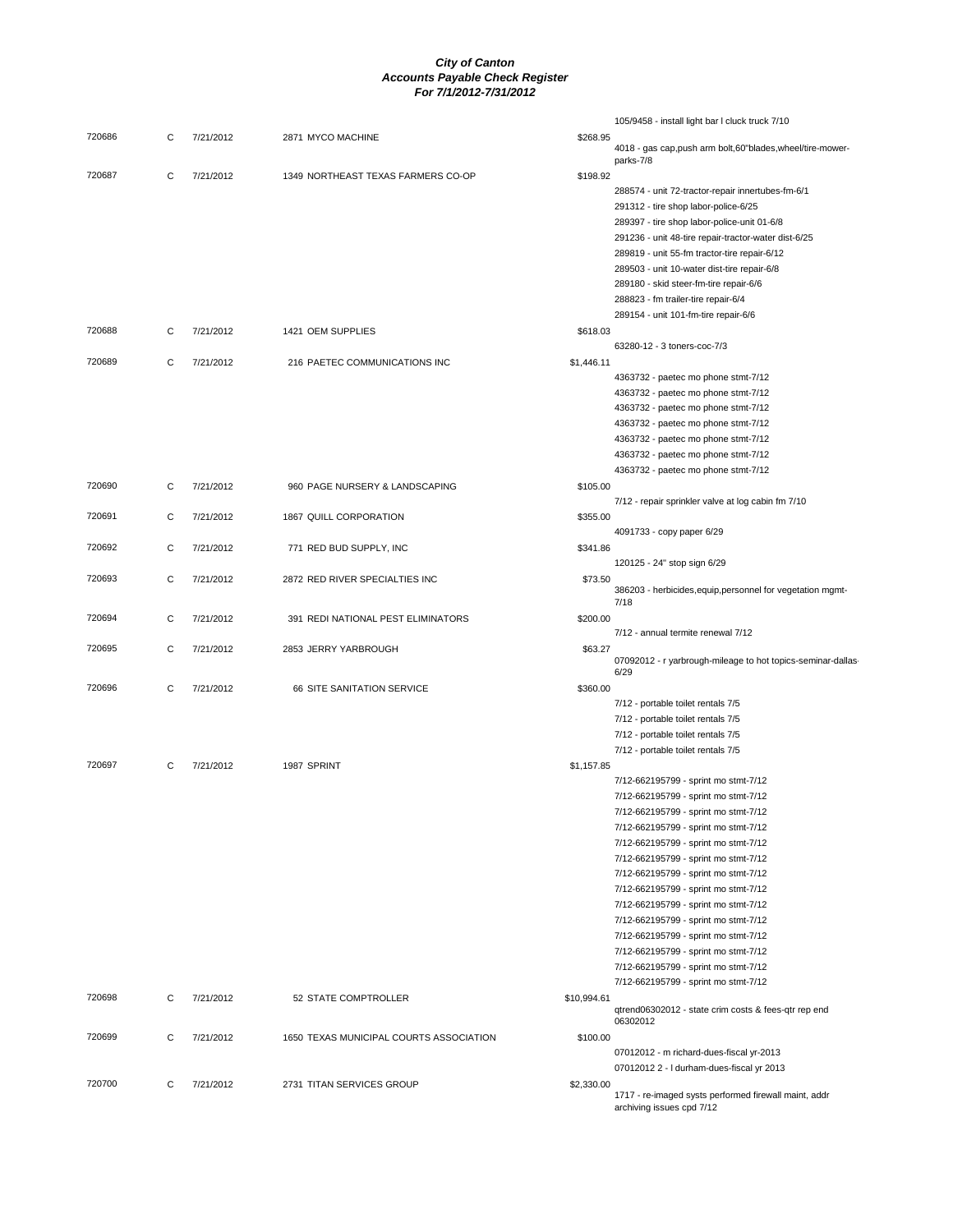|        |   |           |                                         |             | 105/9458 - install light bar I cluck truck 7/10                                    |
|--------|---|-----------|-----------------------------------------|-------------|------------------------------------------------------------------------------------|
| 720686 | С | 7/21/2012 | 2871 MYCO MACHINE                       | \$268.95    | 4018 - gas cap, push arm bolt, 60" blades, wheel/tire-mower-                       |
|        |   |           |                                         |             | parks-7/8                                                                          |
| 720687 | C | 7/21/2012 | 1349 NORTHEAST TEXAS FARMERS CO-OP      | \$198.92    |                                                                                    |
|        |   |           |                                         |             | 288574 - unit 72-tractor-repair innertubes-fm-6/1                                  |
|        |   |           |                                         |             | 291312 - tire shop labor-police-6/25                                               |
|        |   |           |                                         |             | 289397 - tire shop labor-police-unit 01-6/8                                        |
|        |   |           |                                         |             | 291236 - unit 48-tire repair-tractor-water dist-6/25                               |
|        |   |           |                                         |             | 289819 - unit 55-fm tractor-tire repair-6/12                                       |
|        |   |           |                                         |             | 289503 - unit 10-water dist-tire repair-6/8                                        |
|        |   |           |                                         |             | 289180 - skid steer-fm-tire repair-6/6                                             |
|        |   |           |                                         |             | 288823 - fm trailer-tire repair-6/4                                                |
|        |   |           |                                         |             | 289154 - unit 101-fm-tire repair-6/6                                               |
| 720688 | С | 7/21/2012 | 1421 OEM SUPPLIES                       | \$618.03    | 63280-12 - 3 toners-coc-7/3                                                        |
|        | C |           |                                         |             |                                                                                    |
| 720689 |   | 7/21/2012 | 216 PAETEC COMMUNICATIONS INC           | \$1,446.11  | 4363732 - paetec mo phone stmt-7/12                                                |
|        |   |           |                                         |             | 4363732 - paetec mo phone stmt-7/12                                                |
|        |   |           |                                         |             | 4363732 - paetec mo phone stmt-7/12                                                |
|        |   |           |                                         |             | 4363732 - paetec mo phone stmt-7/12                                                |
|        |   |           |                                         |             | 4363732 - paetec mo phone stmt-7/12                                                |
|        |   |           |                                         |             | 4363732 - paetec mo phone stmt-7/12                                                |
|        |   |           |                                         |             | 4363732 - paetec mo phone stmt-7/12                                                |
| 720690 | C | 7/21/2012 | 960 PAGE NURSERY & LANDSCAPING          | \$105.00    |                                                                                    |
|        |   |           |                                         |             | 7/12 - repair sprinkler valve at log cabin fm 7/10                                 |
| 720691 | С | 7/21/2012 | 1867 QUILL CORPORATION                  | \$355.00    |                                                                                    |
|        |   |           |                                         |             | 4091733 - copy paper 6/29                                                          |
| 720692 | C | 7/21/2012 | 771 RED BUD SUPPLY, INC                 | \$341.86    |                                                                                    |
|        |   |           |                                         |             | 120125 - 24" stop sign 6/29                                                        |
| 720693 | C | 7/21/2012 | 2872 RED RIVER SPECIALTIES INC          | \$73.50     |                                                                                    |
|        |   |           |                                         |             | 386203 - herbicides, equip, personnel for vegetation mgmt-<br>7/18                 |
| 720694 | С | 7/21/2012 | 391 REDI NATIONAL PEST ELIMINATORS      | \$200.00    |                                                                                    |
|        |   |           |                                         |             | 7/12 - annual termite renewal 7/12                                                 |
| 720695 | С | 7/21/2012 | 2853 JERRY YARBROUGH                    | \$63.27     |                                                                                    |
|        |   |           |                                         |             | 07092012 - r yarbrough-mileage to hot topics-seminar-dallas-                       |
|        |   |           |                                         |             | 6/29                                                                               |
| 720696 | C | 7/21/2012 | 66 SITE SANITATION SERVICE              | \$360.00    |                                                                                    |
|        |   |           |                                         |             | 7/12 - portable toilet rentals 7/5                                                 |
|        |   |           |                                         |             | 7/12 - portable toilet rentals 7/5                                                 |
|        |   |           |                                         |             | 7/12 - portable toilet rentals 7/5                                                 |
|        |   |           |                                         |             | 7/12 - portable toilet rentals 7/5                                                 |
| 720697 | C | 7/21/2012 | 1987 SPRINT                             | \$1,157.85  |                                                                                    |
|        |   |           |                                         |             | 7/12-662195799 - sprint mo stmt-7/12<br>7/12-662195799 - sprint mo stmt-7/12       |
|        |   |           |                                         |             | 7/12-662195799 - sprint mo stmt-7/12                                               |
|        |   |           |                                         |             | 7/12-662195799 - sprint mo stmt-7/12                                               |
|        |   |           |                                         |             | 7/12-662195799 - sprint mo stmt-7/12                                               |
|        |   |           |                                         |             | 7/12-662195799 - sprint mo stmt-7/12                                               |
|        |   |           |                                         |             | 7/12-662195799 - sprint mo stmt-7/12                                               |
|        |   |           |                                         |             | 7/12-662195799 - sprint mo stmt-7/12                                               |
|        |   |           |                                         |             | 7/12-662195799 - sprint mo stmt-7/12                                               |
|        |   |           |                                         |             | 7/12-662195799 - sprint mo stmt-7/12                                               |
|        |   |           |                                         |             | 7/12-662195799 - sprint mo stmt-7/12                                               |
|        |   |           |                                         |             | 7/12-662195799 - sprint mo stmt-7/12                                               |
|        |   |           |                                         |             | 7/12-662195799 - sprint mo stmt-7/12                                               |
|        |   |           |                                         |             | 7/12-662195799 - sprint mo stmt-7/12                                               |
| 720698 | C | 7/21/2012 | 52 STATE COMPTROLLER                    | \$10,994.61 |                                                                                    |
|        |   |           |                                         |             | qtrend06302012 - state crim costs & fees-qtr rep end                               |
| 720699 |   |           |                                         |             | 06302012                                                                           |
|        |   |           |                                         |             |                                                                                    |
|        | C | 7/21/2012 | 1650 TEXAS MUNICIPAL COURTS ASSOCIATION | \$100.00    |                                                                                    |
|        |   |           |                                         |             | 07012012 - m richard-dues-fiscal yr-2013                                           |
|        |   |           |                                         |             | 07012012 2 - I durham-dues-fiscal yr 2013                                          |
| 720700 | C | 7/21/2012 | 2731 TITAN SERVICES GROUP               | \$2,330.00  | 1717 - re-imaged systs performed firewall maint, addr<br>archiving issues cpd 7/12 |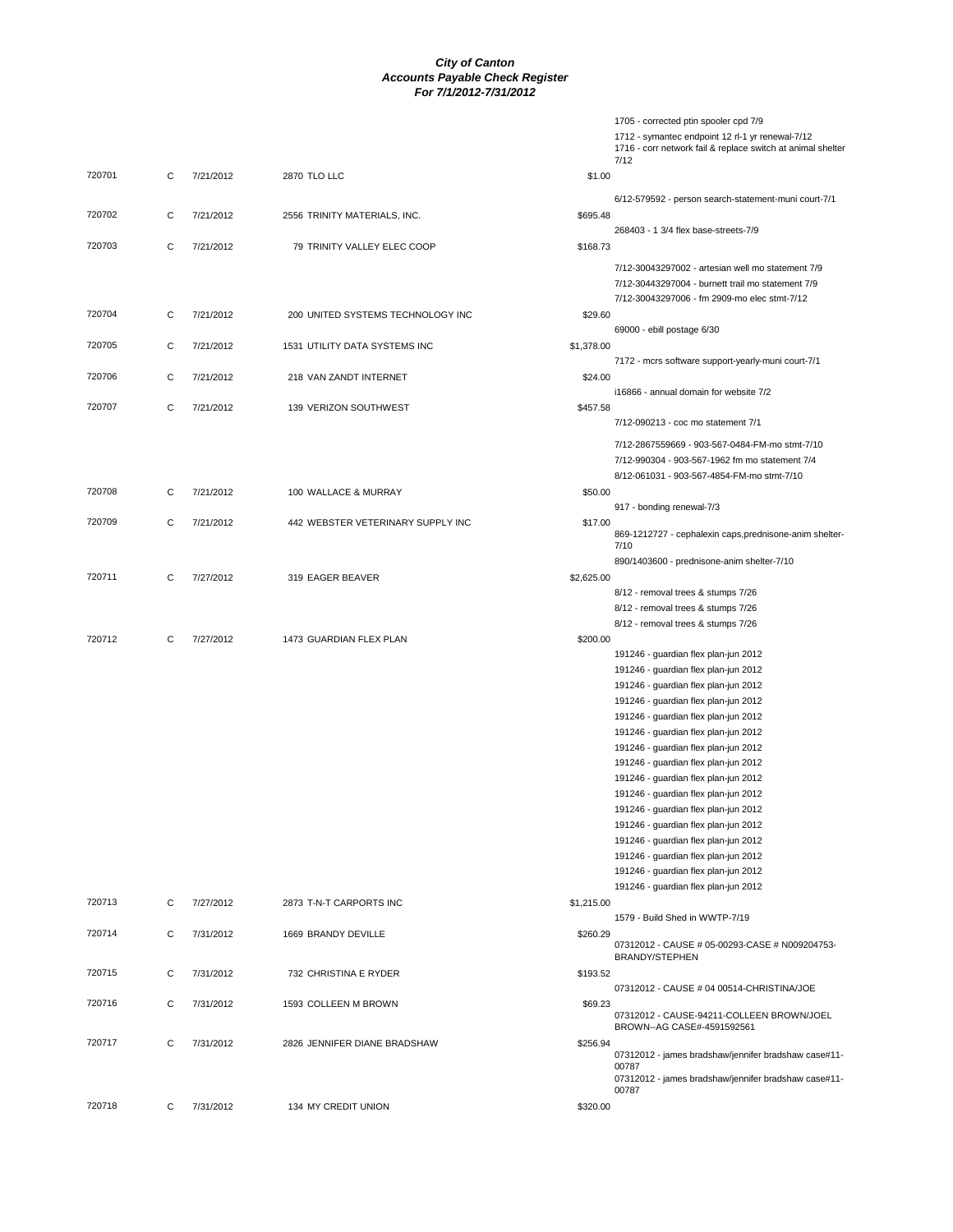1705 - corrected ptin spooler cpd 7/9 1712 - symantec endpoint 12 rl-1 yr renewal-7/12

|        |   |           |                                   |            | 1716 - corr network fail & replace switch at animal shelter<br>7/12          |
|--------|---|-----------|-----------------------------------|------------|------------------------------------------------------------------------------|
| 720701 | С | 7/21/2012 | <b>2870 TLO LLC</b>               | \$1.00     |                                                                              |
|        |   |           |                                   |            | 6/12-579592 - person search-statement-muni court-7/1                         |
| 720702 | С | 7/21/2012 | 2556 TRINITY MATERIALS, INC.      | \$695.48   |                                                                              |
|        |   |           |                                   |            | 268403 - 1 3/4 flex base-streets-7/9                                         |
| 720703 | C | 7/21/2012 | 79 TRINITY VALLEY ELEC COOP       | \$168.73   |                                                                              |
|        |   |           |                                   |            | 7/12-30043297002 - artesian well mo statement 7/9                            |
|        |   |           |                                   |            | 7/12-30443297004 - burnett trail mo statement 7/9                            |
|        |   |           |                                   |            | 7/12-30043297006 - fm 2909-mo elec stmt-7/12                                 |
| 720704 | С | 7/21/2012 | 200 UNITED SYSTEMS TECHNOLOGY INC | \$29.60    |                                                                              |
| 720705 | С | 7/21/2012 | 1531 UTILITY DATA SYSTEMS INC     | \$1,378.00 | 69000 - ebill postage 6/30                                                   |
|        |   |           |                                   |            | 7172 - mcrs software support-yearly-muni court-7/1                           |
| 720706 | С | 7/21/2012 | 218 VAN ZANDT INTERNET            | \$24.00    |                                                                              |
|        |   |           |                                   |            | i16866 - annual domain for website 7/2                                       |
| 720707 | C | 7/21/2012 | 139 VERIZON SOUTHWEST             | \$457.58   |                                                                              |
|        |   |           |                                   |            | 7/12-090213 - coc mo statement 7/1                                           |
|        |   |           |                                   |            | 7/12-2867559669 - 903-567-0484-FM-mo stmt-7/10                               |
|        |   |           |                                   |            | 7/12-990304 - 903-567-1962 fm mo statement 7/4                               |
|        |   |           |                                   |            | 8/12-061031 - 903-567-4854-FM-mo stmt-7/10                                   |
| 720708 | С | 7/21/2012 | 100 WALLACE & MURRAY              | \$50.00    |                                                                              |
|        |   |           |                                   |            | 917 - bonding renewal-7/3                                                    |
| 720709 | C | 7/21/2012 | 442 WEBSTER VETERINARY SUPPLY INC | \$17.00    | 869-1212727 - cephalexin caps, prednisone-anim shelter-                      |
|        |   |           |                                   |            | 7/10                                                                         |
|        |   |           |                                   |            | 890/1403600 - prednisone-anim shelter-7/10                                   |
| 720711 | C | 7/27/2012 | 319 EAGER BEAVER                  | \$2,625.00 |                                                                              |
|        |   |           |                                   |            | 8/12 - removal trees & stumps 7/26<br>8/12 - removal trees & stumps 7/26     |
|        |   |           |                                   |            | 8/12 - removal trees & stumps 7/26                                           |
| 720712 | С | 7/27/2012 | 1473 GUARDIAN FLEX PLAN           | \$200.00   |                                                                              |
|        |   |           |                                   |            | 191246 - guardian flex plan-jun 2012                                         |
|        |   |           |                                   |            | 191246 - guardian flex plan-jun 2012                                         |
|        |   |           |                                   |            | 191246 - guardian flex plan-jun 2012                                         |
|        |   |           |                                   |            | 191246 - guardian flex plan-jun 2012                                         |
|        |   |           |                                   |            | 191246 - guardian flex plan-jun 2012                                         |
|        |   |           |                                   |            | 191246 - guardian flex plan-jun 2012<br>191246 - guardian flex plan-jun 2012 |
|        |   |           |                                   |            | 191246 - guardian flex plan-jun 2012                                         |
|        |   |           |                                   |            | 191246 - guardian flex plan-jun 2012                                         |
|        |   |           |                                   |            | 191246 - guardian flex plan-jun 2012                                         |
|        |   |           |                                   |            | 191246 - guardian flex plan-jun 2012                                         |
|        |   |           |                                   |            | 191246 - guardian flex plan-jun 2012                                         |
|        |   |           |                                   |            | 191246 - guardian flex plan-jun 2012                                         |
|        |   |           |                                   |            | 191246 - guardian flex plan-jun 2012                                         |
|        |   |           |                                   |            | 191246 - guardian flex plan-jun 2012<br>191246 - guardian flex plan-jun 2012 |
| 720713 | С | 7/27/2012 | 2873 T-N-T CARPORTS INC           | \$1,215.00 |                                                                              |
|        |   |           |                                   |            | 1579 - Build Shed in WWTP-7/19                                               |
| 720714 | C | 7/31/2012 | 1669 BRANDY DEVILLE               | \$260.29   |                                                                              |
|        |   |           |                                   |            | 07312012 - CAUSE # 05-00293-CASE # N009204753-<br>BRANDY/STEPHEN             |
| 720715 | С | 7/31/2012 | 732 CHRISTINA E RYDER             | \$193.52   |                                                                              |
|        |   |           |                                   |            | 07312012 - CAUSE # 04 00514-CHRISTINA/JOE                                    |
| 720716 | С | 7/31/2012 | 1593 COLLEEN M BROWN              | \$69.23    |                                                                              |
|        |   |           |                                   |            | 07312012 - CAUSE-94211-COLLEEN BROWN/JOEL                                    |
| 720717 | C | 7/31/2012 | 2826 JENNIFER DIANE BRADSHAW      | \$256.94   | BROWN--AG CASE#-4591592561                                                   |
|        |   |           |                                   |            | 07312012 - james bradshaw/jennifer bradshaw case#11-                         |
|        |   |           |                                   |            | 00787<br>07312012 - james bradshaw/jennifer bradshaw case#11-                |
|        |   |           |                                   |            | 00787                                                                        |
| 720718 | С | 7/31/2012 | 134 MY CREDIT UNION               | \$320.00   |                                                                              |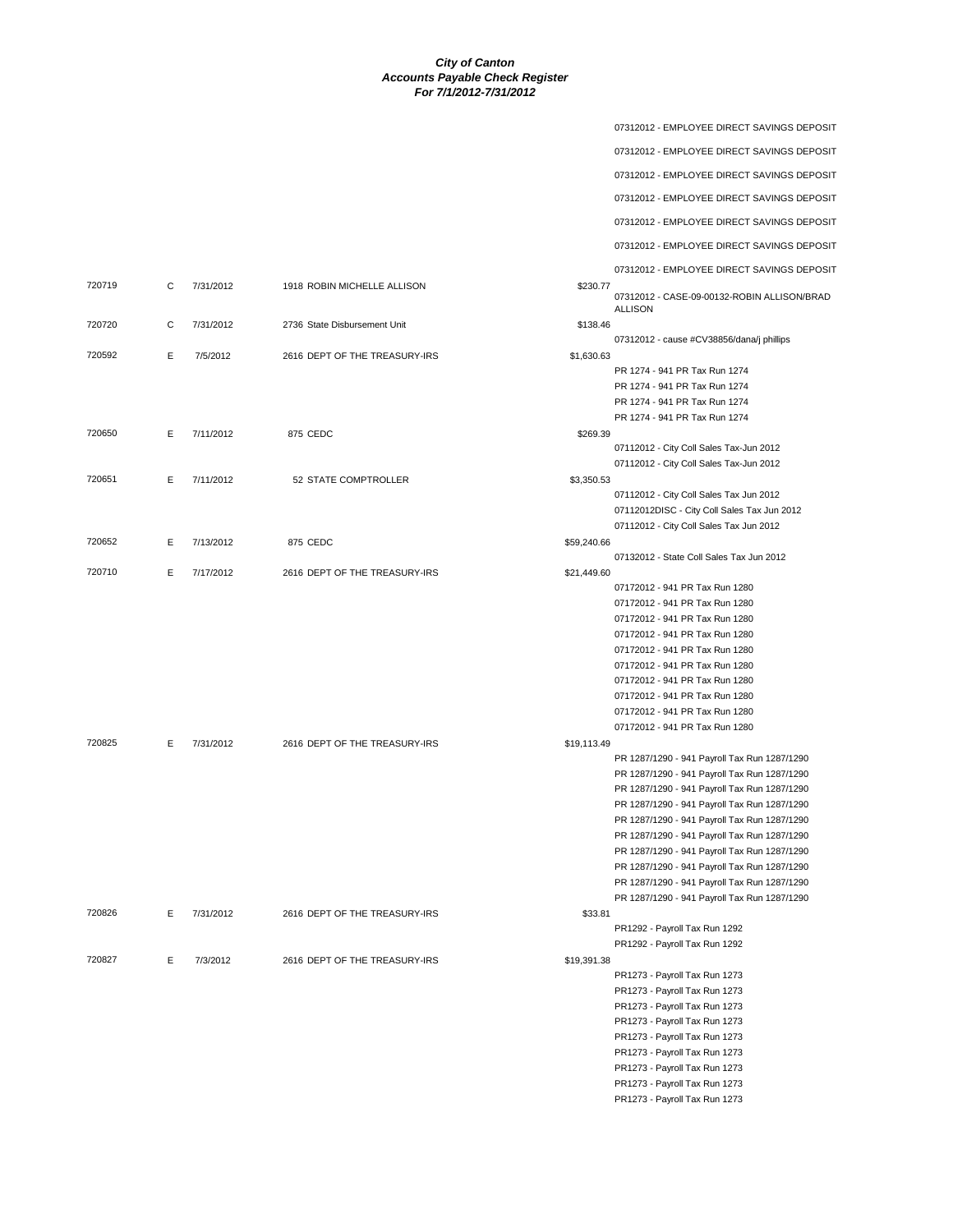|        |    |           |                               | 07312012 - EMPLOYEE DIRECT SAVINGS DEPOSIT                                                   |
|--------|----|-----------|-------------------------------|----------------------------------------------------------------------------------------------|
|        |    |           |                               | 07312012 - EMPLOYEE DIRECT SAVINGS DEPOSIT                                                   |
|        |    |           |                               | 07312012 - EMPLOYEE DIRECT SAVINGS DEPOSIT                                                   |
|        |    |           |                               | 07312012 - EMPLOYEE DIRECT SAVINGS DEPOSIT                                                   |
|        |    |           |                               |                                                                                              |
|        |    |           |                               | 07312012 - EMPLOYEE DIRECT SAVINGS DEPOSIT                                                   |
|        |    |           |                               | 07312012 - EMPLOYEE DIRECT SAVINGS DEPOSIT                                                   |
|        |    |           |                               | 07312012 - EMPLOYEE DIRECT SAVINGS DEPOSIT                                                   |
| 720719 | C  | 7/31/2012 | 1918 ROBIN MICHELLE ALLISON   | \$230.77<br>07312012 - CASE-09-00132-ROBIN ALLISON/BRAD                                      |
|        |    |           |                               | <b>ALLISON</b>                                                                               |
| 720720 | С  | 7/31/2012 | 2736 State Disbursement Unit  | \$138.46<br>07312012 - cause #CV38856/dana/j phillips                                        |
| 720592 | E  | 7/5/2012  | 2616 DEPT OF THE TREASURY-IRS | \$1,630.63                                                                                   |
|        |    |           |                               | PR 1274 - 941 PR Tax Run 1274                                                                |
|        |    |           |                               | PR 1274 - 941 PR Tax Run 1274                                                                |
|        |    |           |                               | PR 1274 - 941 PR Tax Run 1274                                                                |
|        |    |           |                               | PR 1274 - 941 PR Tax Run 1274                                                                |
| 720650 | Е  | 7/11/2012 | 875 CEDC                      | \$269.39                                                                                     |
|        |    |           |                               | 07112012 - City Coll Sales Tax-Jun 2012<br>07112012 - City Coll Sales Tax-Jun 2012           |
| 720651 | Е  | 7/11/2012 | 52 STATE COMPTROLLER          | \$3,350.53                                                                                   |
|        |    |           |                               | 07112012 - City Coll Sales Tax Jun 2012                                                      |
|        |    |           |                               | 07112012DISC - City Coll Sales Tax Jun 2012                                                  |
|        |    |           |                               | 07112012 - City Coll Sales Tax Jun 2012                                                      |
| 720652 | Е  | 7/13/2012 | 875 CEDC                      | \$59,240.66                                                                                  |
|        |    |           |                               | 07132012 - State Coll Sales Tax Jun 2012                                                     |
| 720710 | E  | 7/17/2012 | 2616 DEPT OF THE TREASURY-IRS | \$21,449.60                                                                                  |
|        |    |           |                               | 07172012 - 941 PR Tax Run 1280                                                               |
|        |    |           |                               | 07172012 - 941 PR Tax Run 1280                                                               |
|        |    |           |                               | 07172012 - 941 PR Tax Run 1280<br>07172012 - 941 PR Tax Run 1280                             |
|        |    |           |                               | 07172012 - 941 PR Tax Run 1280                                                               |
|        |    |           |                               | 07172012 - 941 PR Tax Run 1280                                                               |
|        |    |           |                               | 07172012 - 941 PR Tax Run 1280                                                               |
|        |    |           |                               | 07172012 - 941 PR Tax Run 1280                                                               |
|        |    |           |                               | 07172012 - 941 PR Tax Run 1280                                                               |
|        |    |           |                               | 07172012 - 941 PR Tax Run 1280                                                               |
| 720825 | E. | 7/31/2012 | 2616 DEPT OF THE TREASURY-IRS | \$19,113.49                                                                                  |
|        |    |           |                               | PR 1287/1290 - 941 Payroll Tax Run 1287/1290                                                 |
|        |    |           |                               | PR 1287/1290 - 941 Payroll Tax Run 1287/1290                                                 |
|        |    |           |                               | PR 1287/1290 - 941 Payroll Tax Run 1287/1290                                                 |
|        |    |           |                               | PR 1287/1290 - 941 Payroll Tax Run 1287/1290                                                 |
|        |    |           |                               | PR 1287/1290 - 941 Payroll Tax Run 1287/1290                                                 |
|        |    |           |                               | PR 1287/1290 - 941 Payroll Tax Run 1287/1290                                                 |
|        |    |           |                               | PR 1287/1290 - 941 Payroll Tax Run 1287/1290<br>PR 1287/1290 - 941 Payroll Tax Run 1287/1290 |
|        |    |           |                               | PR 1287/1290 - 941 Payroll Tax Run 1287/1290                                                 |
|        |    |           |                               | PR 1287/1290 - 941 Payroll Tax Run 1287/1290                                                 |
| 720826 | Е  | 7/31/2012 | 2616 DEPT OF THE TREASURY-IRS | \$33.81                                                                                      |
|        |    |           |                               | PR1292 - Payroll Tax Run 1292                                                                |
|        |    |           |                               | PR1292 - Payroll Tax Run 1292                                                                |
| 720827 | Е  | 7/3/2012  | 2616 DEPT OF THE TREASURY-IRS | \$19,391.38                                                                                  |
|        |    |           |                               | PR1273 - Payroll Tax Run 1273                                                                |
|        |    |           |                               | PR1273 - Payroll Tax Run 1273                                                                |
|        |    |           |                               | PR1273 - Payroll Tax Run 1273                                                                |
|        |    |           |                               | PR1273 - Payroll Tax Run 1273                                                                |
|        |    |           |                               | PR1273 - Payroll Tax Run 1273                                                                |
|        |    |           |                               | PR1273 - Payroll Tax Run 1273<br>PR1273 - Payroll Tax Run 1273                               |
|        |    |           |                               | PR1273 - Payroll Tax Run 1273                                                                |
|        |    |           |                               | PR1273 - Payroll Tax Run 1273                                                                |
|        |    |           |                               |                                                                                              |